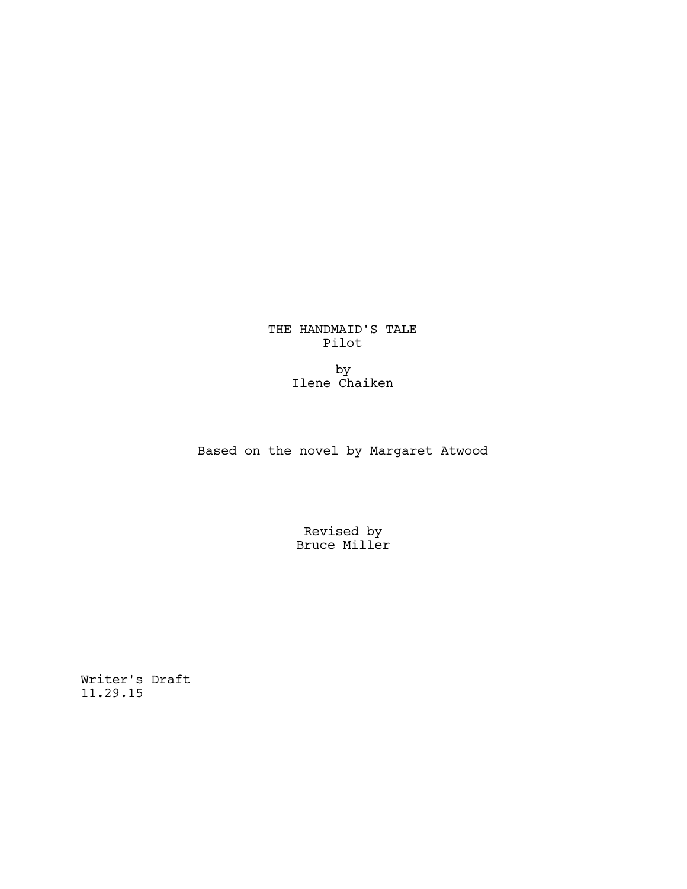THE HANDMAID'S TALE Pilot

> by Ilene Chaiken

Based on the novel by Margaret Atwood

Revised by Bruce Miller

Writer's Draft 11.29.15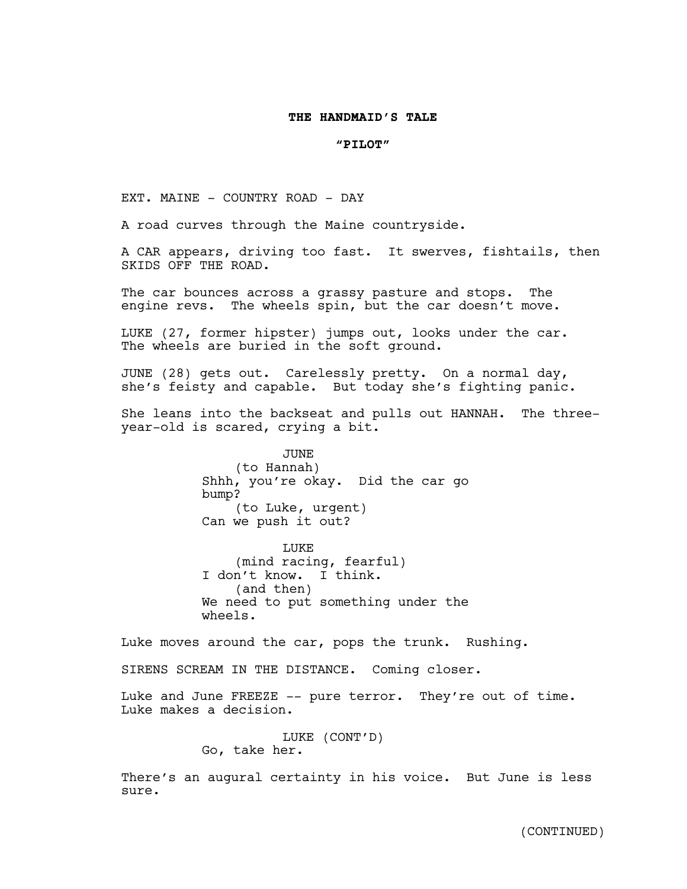## **THE HANDMAID'S TALE**

#### **"PILOT"**

EXT. MAINE - COUNTRY ROAD - DAY

A road curves through the Maine countryside.

A CAR appears, driving too fast. It swerves, fishtails, then SKIDS OFF THE ROAD.

The car bounces across a grassy pasture and stops. The engine revs. The wheels spin, but the car doesn't move.

LUKE (27, former hipster) jumps out, looks under the car. The wheels are buried in the soft ground.

JUNE (28) gets out. Carelessly pretty. On a normal day, she's feisty and capable. But today she's fighting panic.

She leans into the backseat and pulls out HANNAH. The threeyear-old is scared, crying a bit.

> JUNE (to Hannah) Shhh, you're okay. Did the car go bump? (to Luke, urgent) Can we push it out?

> LUKE (mind racing, fearful) I don't know. I think. (and then) We need to put something under the wheels.

Luke moves around the car, pops the trunk. Rushing.

SIRENS SCREAM IN THE DISTANCE. Coming closer.

Luke and June FREEZE -- pure terror. They're out of time. Luke makes a decision.

> LUKE (CONT'D) Go, take her.

There's an augural certainty in his voice. But June is less sure.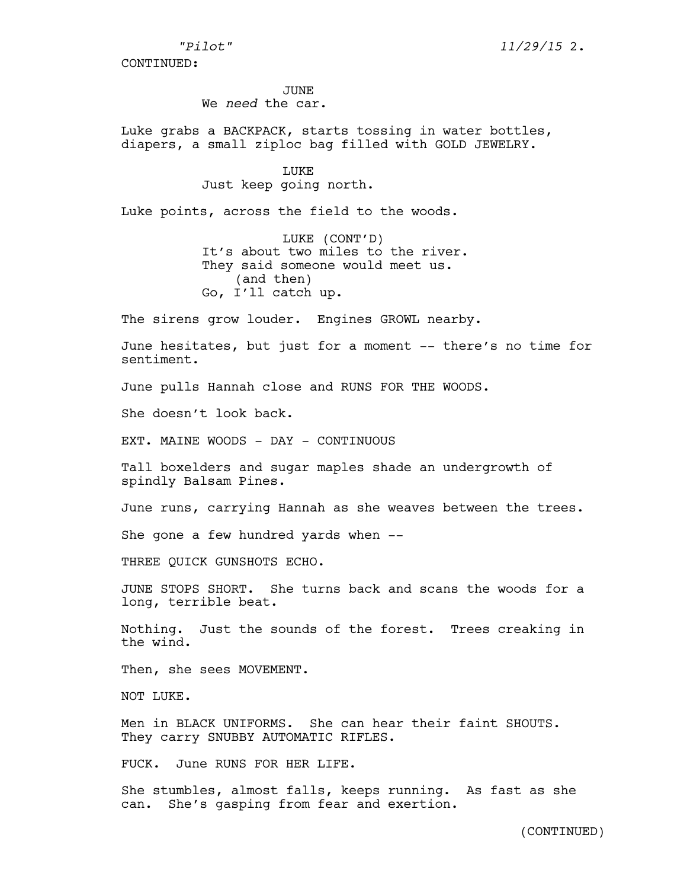JUNE.

We *need* the car.

Luke grabs a BACKPACK, starts tossing in water bottles, diapers, a small ziploc bag filled with GOLD JEWELRY.

> LUKE Just keep going north.

Luke points, across the field to the woods.

LUKE (CONT'D) It's about two miles to the river. They said someone would meet us. (and then) Go, I'll catch up.

The sirens grow louder. Engines GROWL nearby.

June hesitates, but just for a moment -- there's no time for sentiment.

June pulls Hannah close and RUNS FOR THE WOODS.

She doesn't look back.

EXT. MAINE WOODS - DAY - CONTINUOUS

Tall boxelders and sugar maples shade an undergrowth of spindly Balsam Pines.

June runs, carrying Hannah as she weaves between the trees.

She gone a few hundred yards when --

THREE QUICK GUNSHOTS ECHO.

JUNE STOPS SHORT. She turns back and scans the woods for a long, terrible beat.

Nothing. Just the sounds of the forest. Trees creaking in the wind.

Then, she sees MOVEMENT.

NOT LUKE.

Men in BLACK UNIFORMS. She can hear their faint SHOUTS. They carry SNUBBY AUTOMATIC RIFLES.

FUCK. June RUNS FOR HER LIFE.

She stumbles, almost falls, keeps running. As fast as she can. She's gasping from fear and exertion.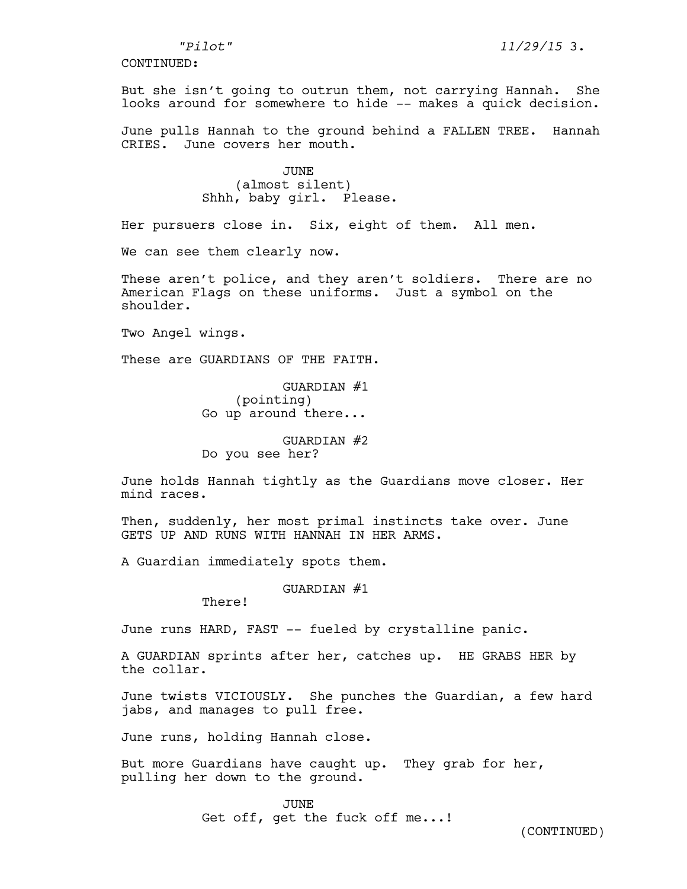But she isn't going to outrun them, not carrying Hannah. She looks around for somewhere to hide -- makes a quick decision.

June pulls Hannah to the ground behind a FALLEN TREE. Hannah CRIES. June covers her mouth.

> JUNE (almost silent) Shhh, baby girl. Please.

Her pursuers close in. Six, eight of them. All men.

We can see them clearly now.

These aren't police, and they aren't soldiers. There are no American Flags on these uniforms. Just a symbol on the shoulder.

Two Angel wings.

These are GUARDIANS OF THE FAITH.

GUARDIAN #1 (pointing) Go up around there...

#### GUARDIAN #2

Do you see her?

June holds Hannah tightly as the Guardians move closer. Her mind races.

Then, suddenly, her most primal instincts take over. June GETS UP AND RUNS WITH HANNAH IN HER ARMS.

A Guardian immediately spots them.

#### GUARDIAN #1

There!

June runs HARD, FAST -- fueled by crystalline panic.

A GUARDIAN sprints after her, catches up. HE GRABS HER by the collar.

June twists VICIOUSLY. She punches the Guardian, a few hard jabs, and manages to pull free.

June runs, holding Hannah close.

But more Guardians have caught up. They grab for her, pulling her down to the ground.

> JUNE Get off, get the fuck off me...!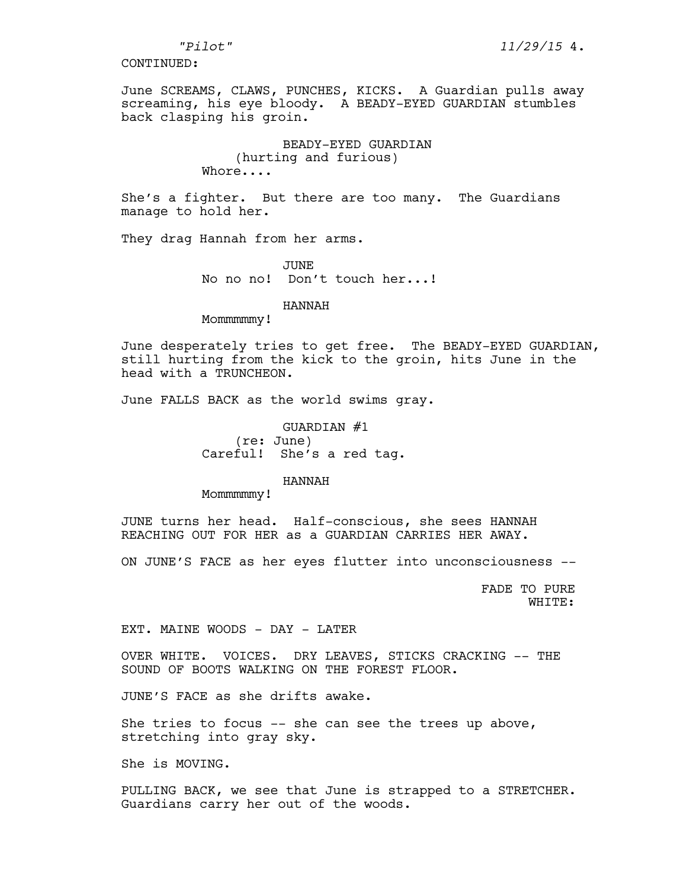June SCREAMS, CLAWS, PUNCHES, KICKS. A Guardian pulls away screaming, his eye bloody. A BEADY-EYED GUARDIAN stumbles back clasping his groin.

> BEADY-EYED GUARDIAN (hurting and furious) Whore....

She's a fighter. But there are too many. The Guardians manage to hold her.

They drag Hannah from her arms.

JUNE No no no! Don't touch her...!

#### HANNAH

Mommmmmw!

June desperately tries to get free. The BEADY-EYED GUARDIAN, still hurting from the kick to the groin, hits June in the head with a TRUNCHEON.

June FALLS BACK as the world swims gray.

GUARDIAN #1 (re: June) Careful! She's a red tag.

# HANNAH

Mommmmmw!

JUNE turns her head. Half-conscious, she sees HANNAH REACHING OUT FOR HER as a GUARDIAN CARRIES HER AWAY.

ON JUNE'S FACE as her eyes flutter into unconsciousness --

FADE TO PURE WHITE:

EXT. MAINE WOODS - DAY - LATER

OVER WHITE. VOICES. DRY LEAVES, STICKS CRACKING -- THE SOUND OF BOOTS WALKING ON THE FOREST FLOOR.

JUNE'S FACE as she drifts awake.

She tries to focus -- she can see the trees up above, stretching into gray sky.

She is MOVING.

PULLING BACK, we see that June is strapped to a STRETCHER. Guardians carry her out of the woods.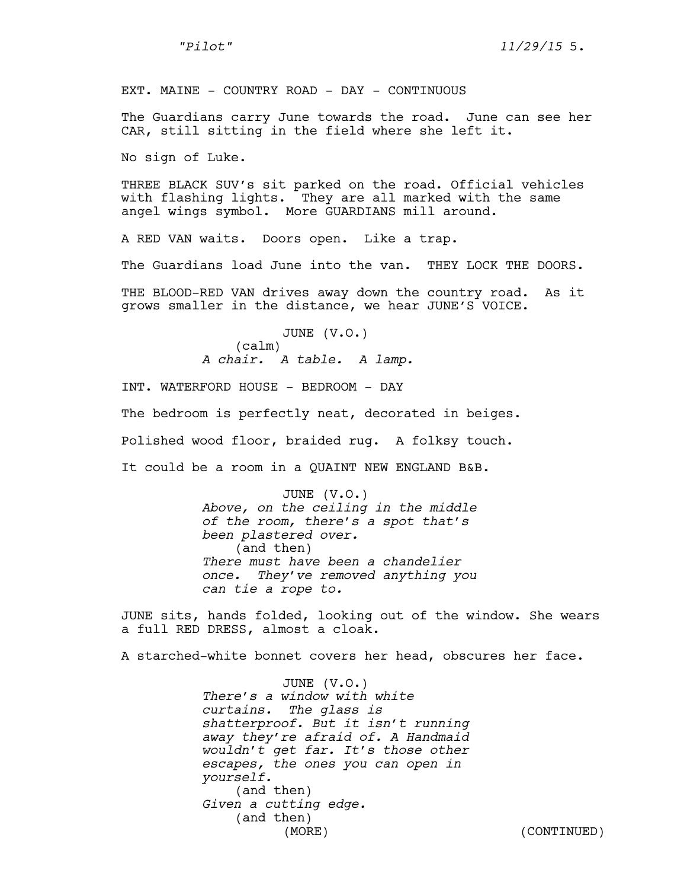*"Pilot" 11/29/15* 5.

EXT. MAINE - COUNTRY ROAD - DAY - CONTINUOUS

The Guardians carry June towards the road. June can see her CAR, still sitting in the field where she left it.

No sign of Luke.

THREE BLACK SUV's sit parked on the road. Official vehicles with flashing lights. They are all marked with the same angel wings symbol. More GUARDIANS mill around.

A RED VAN waits. Doors open. Like a trap.

The Guardians load June into the van. THEY LOCK THE DOORS.

THE BLOOD-RED VAN drives away down the country road. As it grows smaller in the distance, we hear JUNE'S VOICE.

> JUNE (V.O.) (calm) *A chair. A table. A lamp.*

INT. WATERFORD HOUSE - BEDROOM - DAY The bedroom is perfectly neat, decorated in beiges. Polished wood floor, braided rug. A folksy touch. It could be a room in a QUAINT NEW ENGLAND B&B.

> JUNE (V.O.) *Above, on the ceiling in the middle of the room, there's a spot that's been plastered over.* (and then) *There must have been a chandelier once. They've removed anything you can tie a rope to.*

JUNE sits, hands folded, looking out of the window. She wears a full RED DRESS, almost a cloak.

A starched-white bonnet covers her head, obscures her face.

JUNE (V.O.) *There's a window with white curtains. The glass is shatterproof. But it isn't running away they're afraid of. A Handmaid wouldn't get far. It's those other escapes, the ones you can open in yourself.*  (and then) *Given a cutting edge.*  (and then) (MORE) (CONTINUED)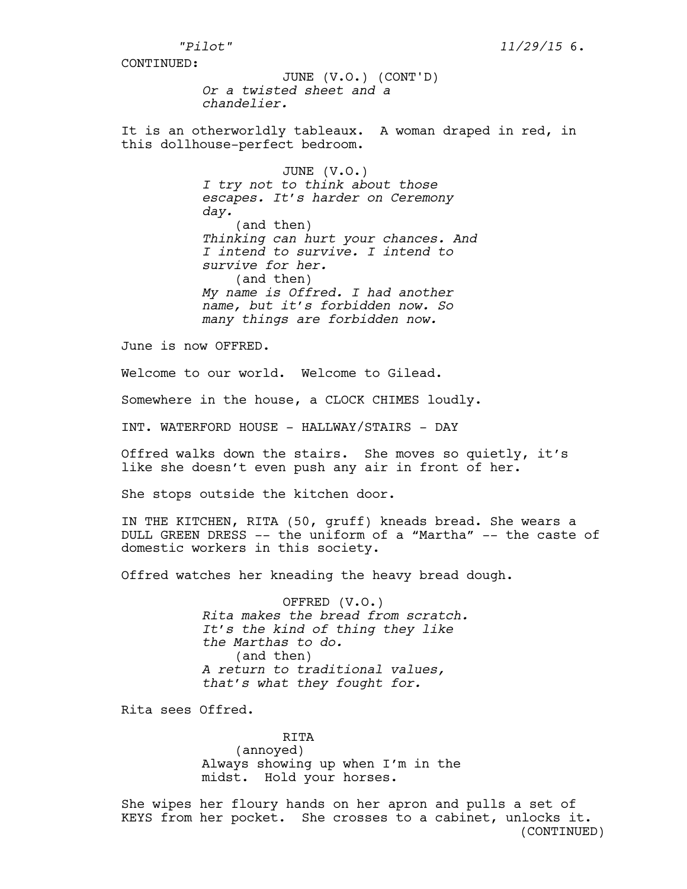*Or a twisted sheet and a chandelier.*  JUNE (V.O.) (CONT'D)

It is an otherworldly tableaux. A woman draped in red, in this dollhouse-perfect bedroom.

> JUNE (V.O.) *I try not to think about those escapes. It's harder on Ceremony day.*  (and then) *Thinking can hurt your chances. And I intend to survive. I intend to survive for her.* (and then) *My name is Offred. I had another name, but it's forbidden now. So many things are forbidden now.*

June is now OFFRED.

Welcome to our world. Welcome to Gilead.

Somewhere in the house, a CLOCK CHIMES loudly.

INT. WATERFORD HOUSE - HALLWAY/STAIRS - DAY

Offred walks down the stairs. She moves so quietly, it's like she doesn't even push any air in front of her.

She stops outside the kitchen door.

IN THE KITCHEN, RITA (50, gruff) kneads bread. She wears a DULL GREEN DRESS -- the uniform of a "Martha" -- the caste of domestic workers in this society.

Offred watches her kneading the heavy bread dough.

OFFRED (V.O.) *Rita makes the bread from scratch. It's the kind of thing they like the Marthas to do.*  (and then) *A return to traditional values, that's what they fought for.*

Rita sees Offred.

RITA (annoyed) Always showing up when I'm in the midst. Hold your horses.

She wipes her floury hands on her apron and pulls a set of KEYS from her pocket. She crosses to a cabinet, unlocks it. (CONTINUED)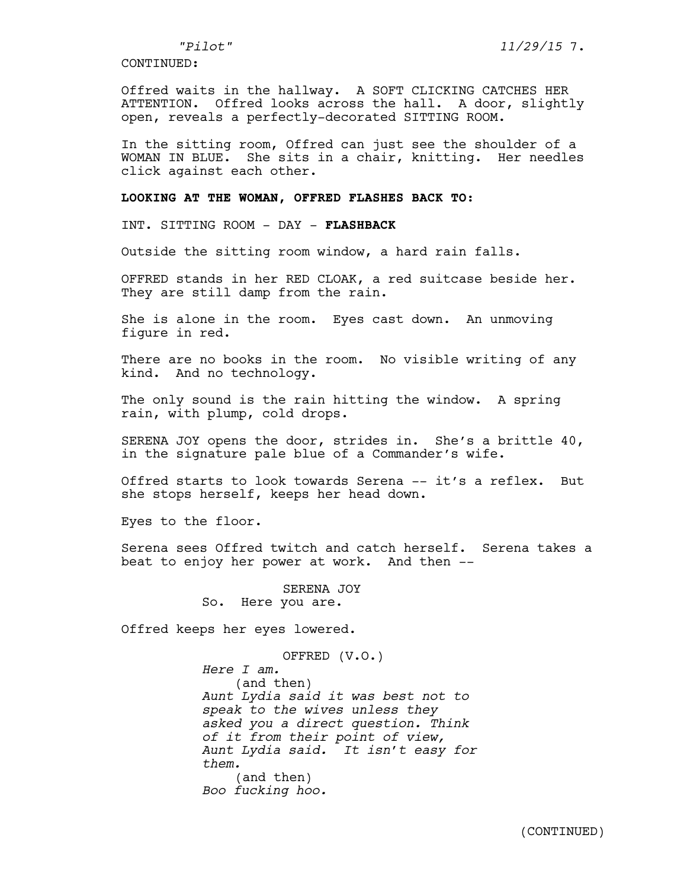Offred waits in the hallway. A SOFT CLICKING CATCHES HER ATTENTION. Offred looks across the hall. A door, slightly open, reveals a perfectly-decorated SITTING ROOM.

In the sitting room, Offred can just see the shoulder of a WOMAN IN BLUE. She sits in a chair, knitting. Her needles click against each other.

## **LOOKING AT THE WOMAN, OFFRED FLASHES BACK TO:**

INT. SITTING ROOM - DAY - **FLASHBACK**

Outside the sitting room window, a hard rain falls.

OFFRED stands in her RED CLOAK, a red suitcase beside her. They are still damp from the rain.

She is alone in the room. Eyes cast down. An unmoving figure in red.

There are no books in the room. No visible writing of any kind. And no technology.

The only sound is the rain hitting the window. A spring rain, with plump, cold drops.

SERENA JOY opens the door, strides in. She's a brittle 40, in the signature pale blue of a Commander's wife.

Offred starts to look towards Serena -- it's a reflex. But she stops herself, keeps her head down.

Eyes to the floor.

Serena sees Offred twitch and catch herself. Serena takes a beat to enjoy her power at work. And then --

> SERENA JOY So. Here you are.

Offred keeps her eyes lowered.

OFFRED (V.O.) *Here I am.* (and then) *Aunt Lydia said it was best not to speak to the wives unless they asked you a direct question. Think of it from their point of view, Aunt Lydia said. It isn't easy for them.* (and then) *Boo fucking hoo.*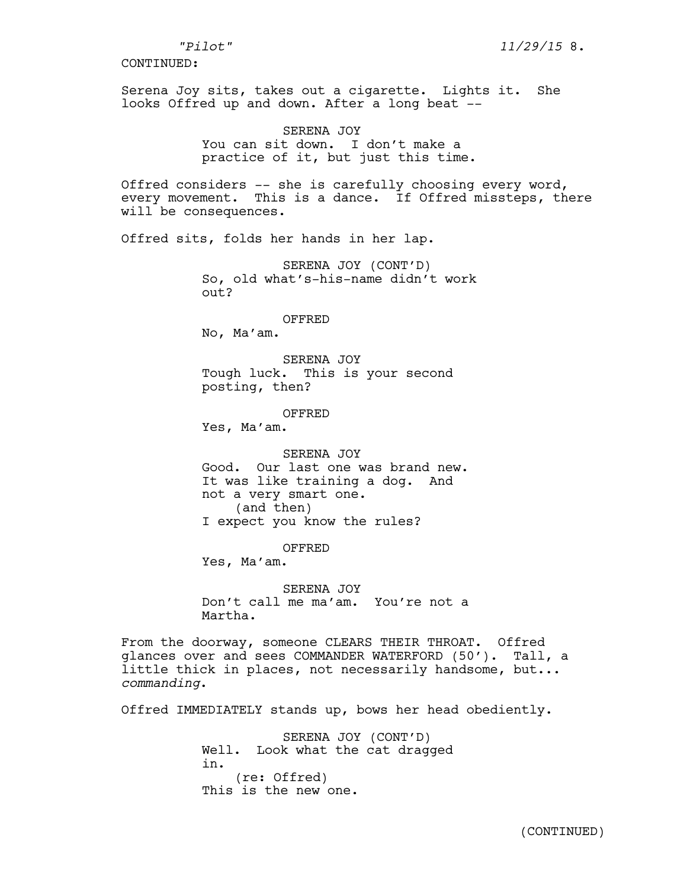Serena Joy sits, takes out a cigarette. Lights it. She looks Offred up and down. After a long beat --

SERENA JOY

You can sit down. I don't make a practice of it, but just this time.

Offred considers -- she is carefully choosing every word, every movement. This is a dance. If Offred missteps, there will be consequences.

Offred sits, folds her hands in her lap.

SERENA JOY (CONT'D) So, old what's-his-name didn't work out?

OFFRED

No, Ma'am.

SERENA JOY Tough luck. This is your second posting, then?

OFFRED Yes, Ma'am.

SERENA JOY Good. Our last one was brand new. It was like training a dog. And not a very smart one. (and then) I expect you know the rules?

OFFRED

Yes, Ma'am.

SERENA JOY Don't call me ma'am. You're not a Martha.

From the doorway, someone CLEARS THEIR THROAT. Offred glances over and sees COMMANDER WATERFORD (50'). Tall, a little thick in places, not necessarily handsome, but... *commanding*.

Offred IMMEDIATELY stands up, bows her head obediently.

SERENA JOY (CONT'D) Well. Look what the cat dragged in. (re: Offred) This is the new one.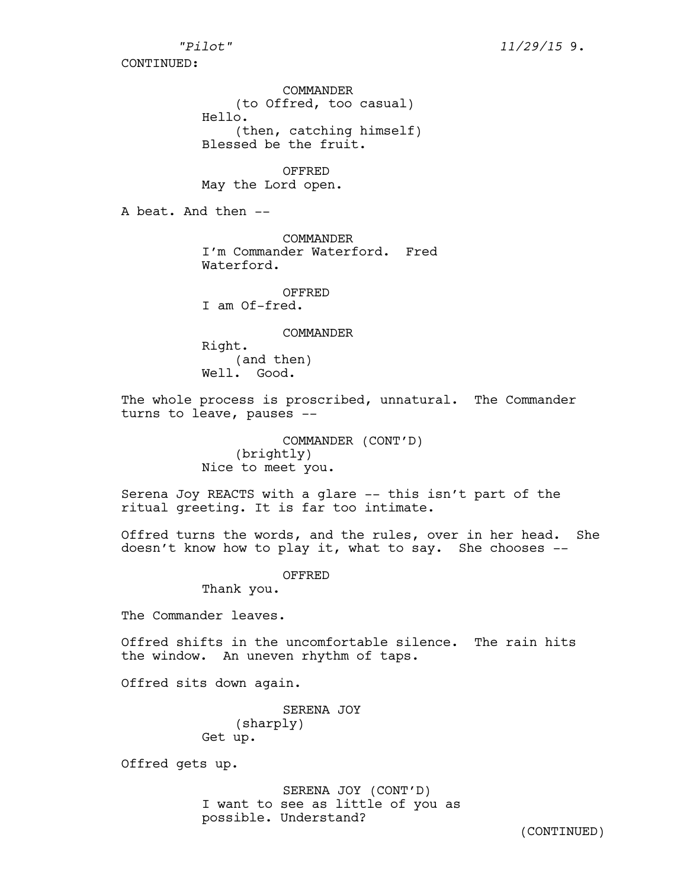COMMANDER (to Offred, too casual) Hello. (then, catching himself) Blessed be the fruit.

OFFRED May the Lord open.

A beat. And then --

COMMANDER I'm Commander Waterford. Fred Waterford.

OFFRED I am Of-fred.

COMMANDER

Right. (and then) Well. Good.

The whole process is proscribed, unnatural. The Commander turns to leave, pauses --

> COMMANDER (CONT'D) (brightly) Nice to meet you.

Serena Joy REACTS with a glare -- this isn't part of the ritual greeting. It is far too intimate.

Offred turns the words, and the rules, over in her head. She doesn't know how to play it, what to say. She chooses --

OFFRED

Thank you.

The Commander leaves.

Offred shifts in the uncomfortable silence. The rain hits the window. An uneven rhythm of taps.

Offred sits down again.

SERENA JOY (sharply) Get up.

Offred gets up.

SERENA JOY (CONT'D) I want to see as little of you as possible. Understand?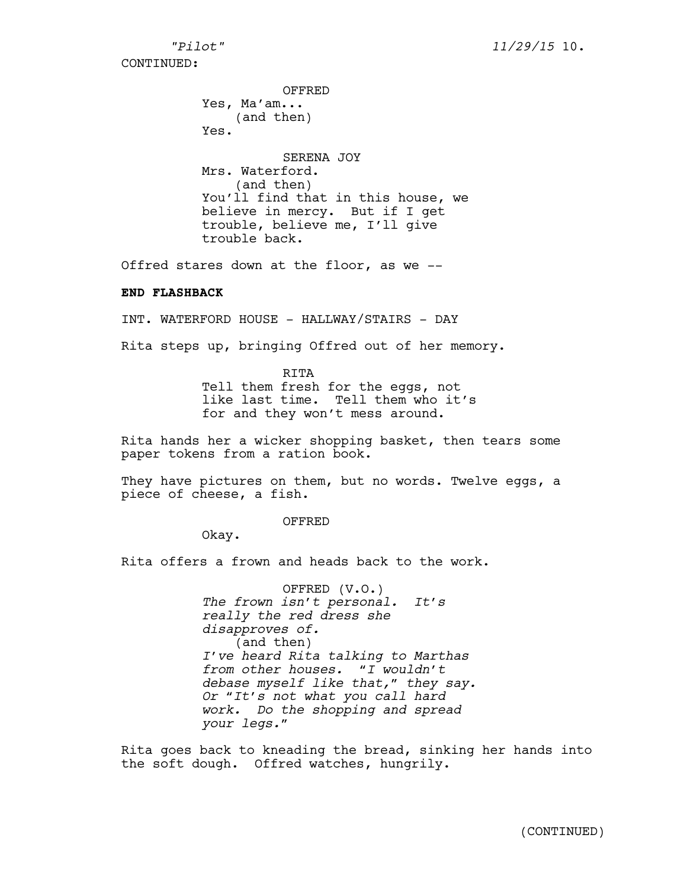OFFRED

Yes, Ma'am... (and then) Yes. SERENA JOY Mrs. Waterford. (and then) You'll find that in this house, we believe in mercy. But if I get trouble, believe me, I'll give trouble back.

Offred stares down at the floor, as we --

## **END FLASHBACK**

INT. WATERFORD HOUSE - HALLWAY/STAIRS - DAY

Rita steps up, bringing Offred out of her memory.

RITA Tell them fresh for the eggs, not like last time. Tell them who it's for and they won't mess around.

Rita hands her a wicker shopping basket, then tears some paper tokens from a ration book.

They have pictures on them, but no words. Twelve eggs, a piece of cheese, a fish.

OFFRED

Okay.

Rita offers a frown and heads back to the work.

OFFRED (V.O.) *The frown isn't personal. It's really the red dress she disapproves of.*  (and then) *I've heard Rita talking to Marthas from other houses. "I wouldn't debase myself like that," they say. Or "It's not what you call hard work. Do the shopping and spread your legs."*

Rita goes back to kneading the bread, sinking her hands into the soft dough. Offred watches, hungrily.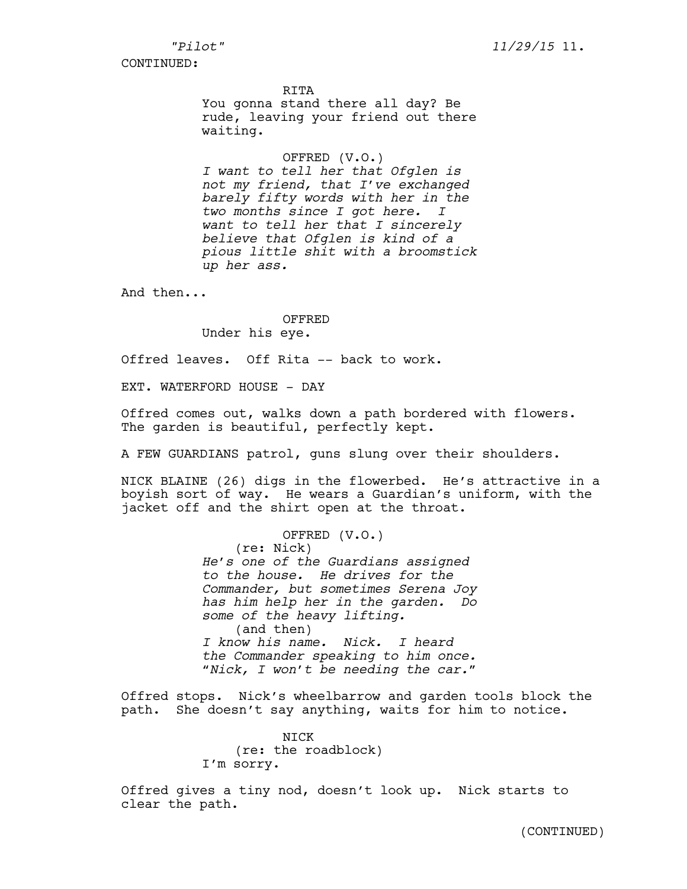RITA

You gonna stand there all day? Be rude, leaving your friend out there waiting.

OFFRED (V.O.)

*I want to tell her that Ofglen is not my friend, that I've exchanged barely fifty words with her in the two months since I got here. I want to tell her that I sincerely believe that Ofglen is kind of a pious little shit with a broomstick up her ass.* 

And then...

# OFFRED Under his eye.

Offred leaves. Off Rita -- back to work.

EXT. WATERFORD HOUSE - DAY

Offred comes out, walks down a path bordered with flowers. The garden is beautiful, perfectly kept.

A FEW GUARDIANS patrol, guns slung over their shoulders.

NICK BLAINE (26) digs in the flowerbed. He's attractive in a boyish sort of way. He wears a Guardian's uniform, with the jacket off and the shirt open at the throat.

> OFFRED (V.O.) (re: Nick) *He's one of the Guardians assigned to the house. He drives for the Commander, but sometimes Serena Joy has him help her in the garden. Do some of the heavy lifting.* (and then) *I know his name. Nick. I heard the Commander speaking to him once. "Nick, I won't be needing the car."*

Offred stops. Nick's wheelbarrow and garden tools block the path. She doesn't say anything, waits for him to notice.

> NICK (re: the roadblock) I'm sorry.

Offred gives a tiny nod, doesn't look up. Nick starts to clear the path.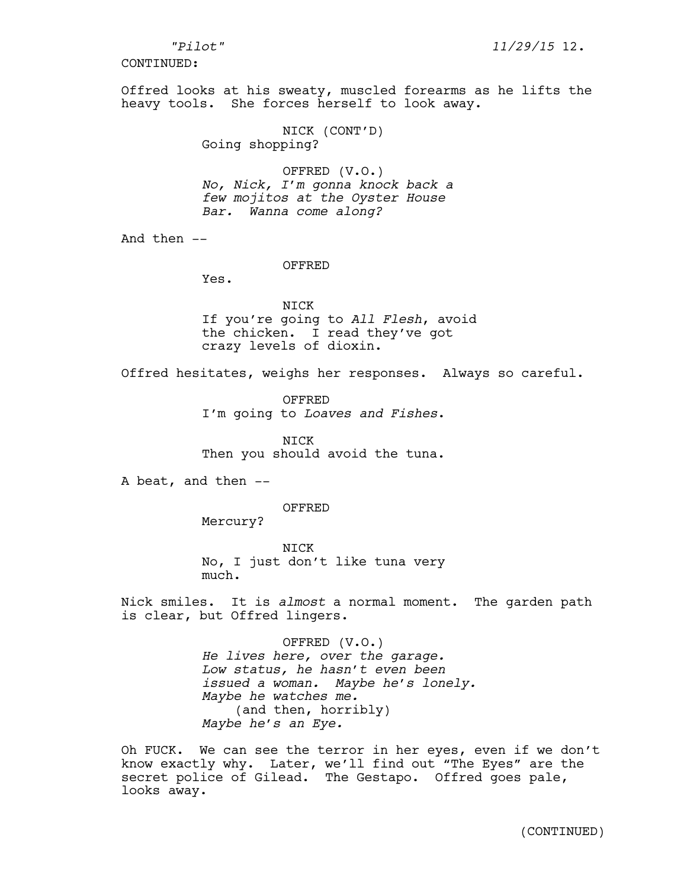Offred looks at his sweaty, muscled forearms as he lifts the heavy tools. She forces herself to look away.

> NICK (CONT'D) Going shopping?

OFFRED (V.O.) *No, Nick, I'm gonna knock back a few mojitos at the Oyster House Bar. Wanna come along?*

And then --

#### OFFRED

Yes.

NICK If you're going to *All Flesh*, avoid the chicken. I read they've got crazy levels of dioxin.

Offred hesitates, weighs her responses. Always so careful.

OFFRED I'm going to *Loaves and Fishes*.

NICK Then you should avoid the tuna.

A beat, and then --

OFFRED

Mercury?

NICK No, I just don't like tuna very much.

Nick smiles. It is *almost* a normal moment. The garden path is clear, but Offred lingers.

> OFFRED (V.O.) *He lives here, over the garage. Low status, he hasn't even been issued a woman. Maybe he's lonely. Maybe he watches me.*  (and then, horribly) *Maybe he's an Eye.*

Oh FUCK. We can see the terror in her eyes, even if we don't know exactly why. Later, we'll find out "The Eyes" are the secret police of Gilead. The Gestapo. Offred goes pale, looks away.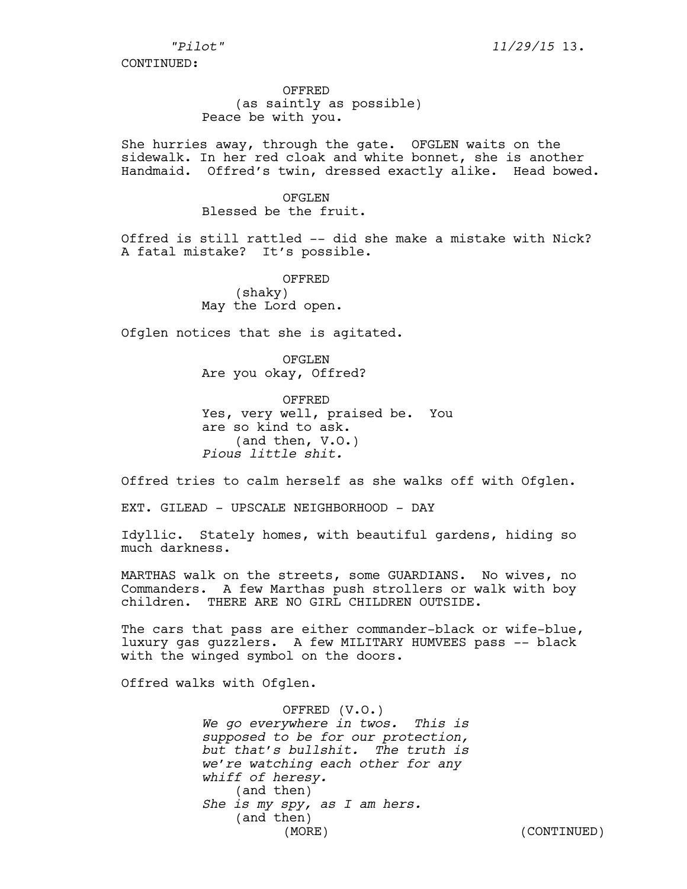*"Pilot" 11/29/15* 13.

CONTINUED:

OFFRED (as saintly as possible) Peace be with you.

She hurries away, through the gate. OFGLEN waits on the sidewalk. In her red cloak and white bonnet, she is another Handmaid. Offred's twin, dressed exactly alike. Head bowed.

## OFGLEN

Blessed be the fruit.

Offred is still rattled -- did she make a mistake with Nick? A fatal mistake? It's possible.

> OFFRED (shaky) May the Lord open.

Ofglen notices that she is agitated.

OFGLEN Are you okay, Offred?

OFFRED Yes, very well, praised be. You are so kind to ask. (and then, V.O.) *Pious little shit.* 

Offred tries to calm herself as she walks off with Ofglen.

EXT. GILEAD - UPSCALE NEIGHBORHOOD - DAY

Idyllic. Stately homes, with beautiful gardens, hiding so much darkness.

MARTHAS walk on the streets, some GUARDIANS. No wives, no Commanders. A few Marthas push strollers or walk with boy children. THERE ARE NO GIRL CHILDREN OUTSIDE.

The cars that pass are either commander-black or wife-blue, luxury gas guzzlers. A few MILITARY HUMVEES pass -- black with the winged symbol on the doors.

Offred walks with Ofglen.

OFFRED (V.O.) *We go everywhere in twos. This is supposed to be for our protection, but that's bullshit. The truth is we're watching each other for any whiff of heresy.* (and then) *She is my spy, as I am hers.*  (and then) (MORE) (CONTINUED)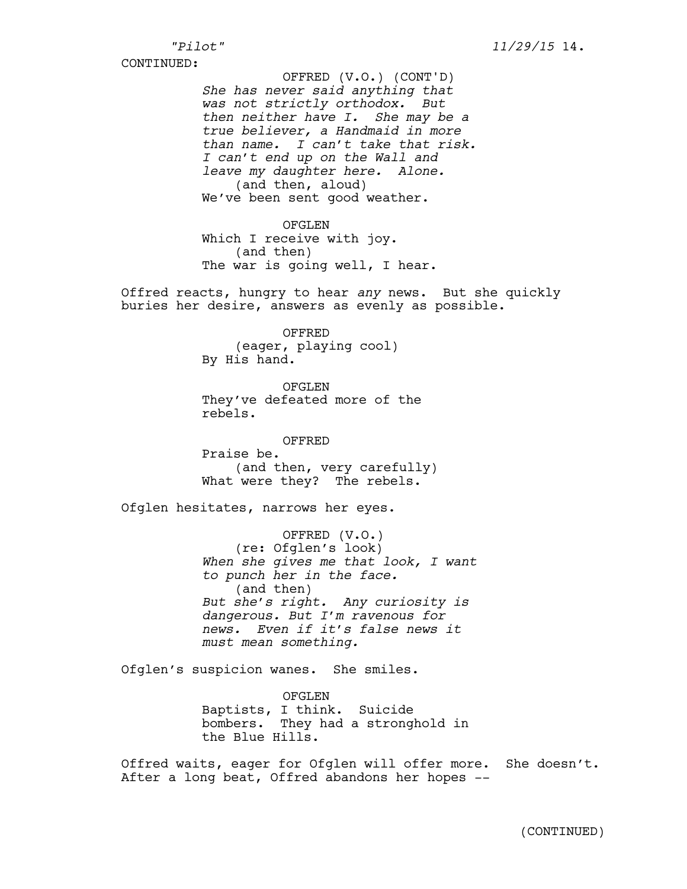*She has never said anything that was not strictly orthodox. But then neither have I. She may be a true believer, a Handmaid in more than name. I can't take that risk. I can't end up on the Wall and leave my daughter here. Alone.*  (and then, aloud) We've been sent good weather. OFFRED (V.O.) (CONT'D)

OFGLEN Which I receive with joy. (and then) The war is going well, I hear.

Offred reacts, hungry to hear *any* news. But she quickly buries her desire, answers as evenly as possible.

> OFFRED (eager, playing cool) By His hand.

OFGLEN They've defeated more of the rebels.

OFFRED Praise be. (and then, very carefully) What were they? The rebels.

Ofglen hesitates, narrows her eyes.

OFFRED (V.O.) (re: Ofglen's look) *When she gives me that look, I want to punch her in the face.* (and then) *But she's right. Any curiosity is dangerous. But I'm ravenous for news. Even if it's false news it must mean something.* 

Ofglen's suspicion wanes. She smiles.

OFGLEN Baptists, I think. Suicide bombers. They had a stronghold in the Blue Hills.

Offred waits, eager for Ofglen will offer more. She doesn't. After a long beat, Offred abandons her hopes --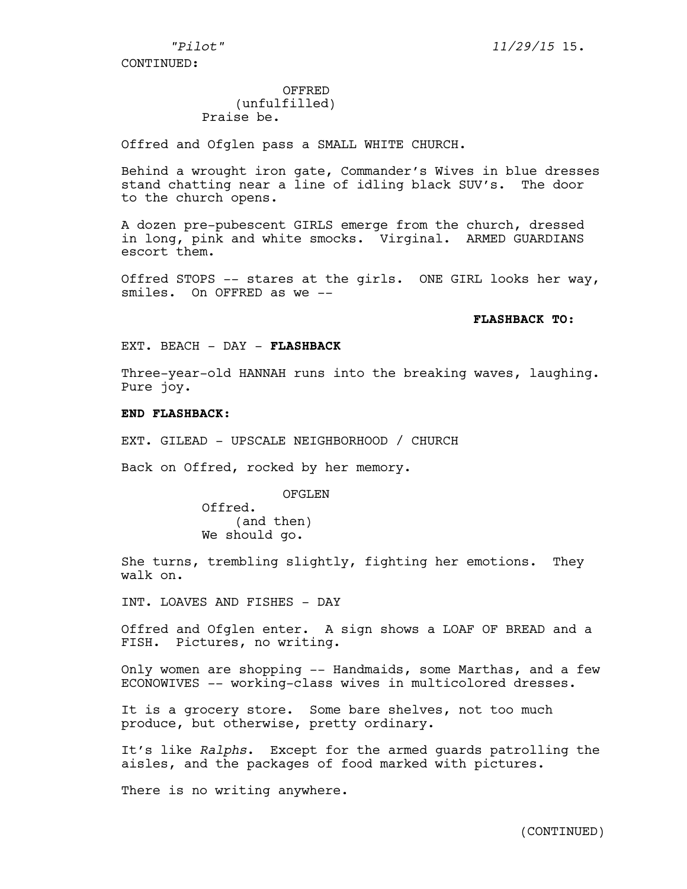# OFFRED

# (unfulfilled) Praise be.

Offred and Ofglen pass a SMALL WHITE CHURCH.

Behind a wrought iron gate, Commander's Wives in blue dresses stand chatting near a line of idling black SUV's. The door to the church opens.

A dozen pre-pubescent GIRLS emerge from the church, dressed in long, pink and white smocks. Virginal. ARMED GUARDIANS escort them.

Offred STOPS -- stares at the girls. ONE GIRL looks her way, smiles. On OFFRED as we --

## **FLASHBACK TO:**

EXT. BEACH - DAY - **FLASHBACK**

Three-year-old HANNAH runs into the breaking waves, laughing. Pure joy.

# **END FLASHBACK:**

EXT. GILEAD - UPSCALE NEIGHBORHOOD / CHURCH

Back on Offred, rocked by her memory.

# OFGLEN

Offred. (and then) We should go.

She turns, trembling slightly, fighting her emotions. They walk on.

INT. LOAVES AND FISHES - DAY

Offred and Ofglen enter. A sign shows a LOAF OF BREAD and a FISH. Pictures, no writing.

Only women are shopping -- Handmaids, some Marthas, and a few ECONOWIVES -- working-class wives in multicolored dresses.

It is a grocery store. Some bare shelves, not too much produce, but otherwise, pretty ordinary.

It's like *Ralphs*. Except for the armed guards patrolling the aisles, and the packages of food marked with pictures.

There is no writing anywhere.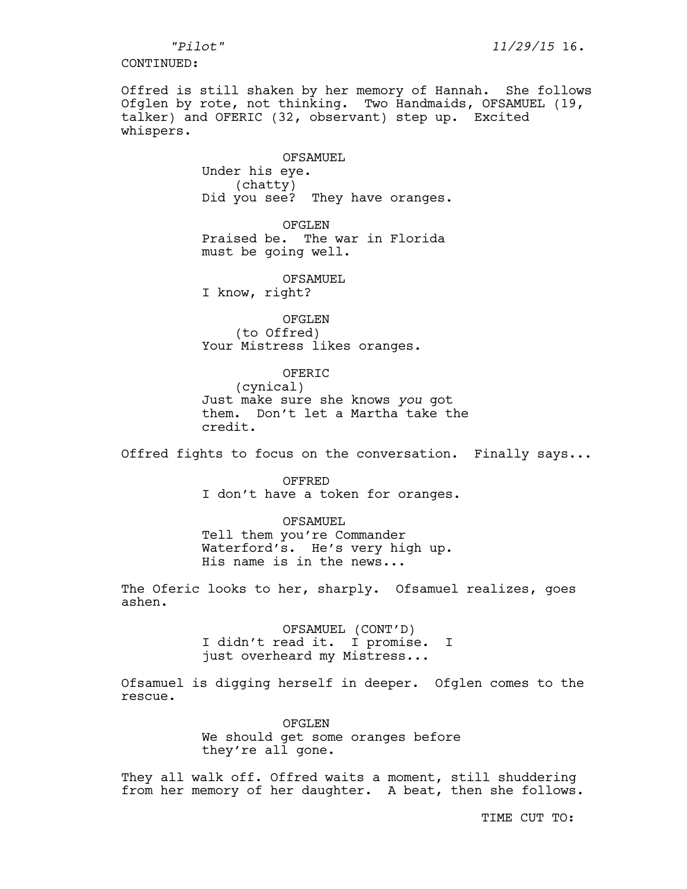Offred is still shaken by her memory of Hannah. She follows Ofglen by rote, not thinking. Two Handmaids, OFSAMUEL (19, talker) and OFERIC (32, observant) step up. Excited whispers.

> OFSAMUEL Under his eye. (chatty) Did you see? They have oranges.

OFGLEN Praised be. The war in Florida must be going well.

OFSAMUEL I know, right?

OFGLEN (to Offred) Your Mistress likes oranges.

## OFERIC

(cynical) Just make sure she knows *you* got them. Don't let a Martha take the credit.

Offred fights to focus on the conversation. Finally says...

OFFRED I don't have a token for oranges.

OFSAMUEL

Tell them you're Commander Waterford's. He's very high up. His name is in the news...

The Oferic looks to her, sharply. Ofsamuel realizes, goes ashen.

> OFSAMUEL (CONT'D) I didn't read it. I promise. I just overheard my Mistress...

Ofsamuel is digging herself in deeper. Ofglen comes to the rescue.

> OFGLEN We should get some oranges before they're all gone.

They all walk off. Offred waits a moment, still shuddering from her memory of her daughter. A beat, then she follows.

TIME CUT TO: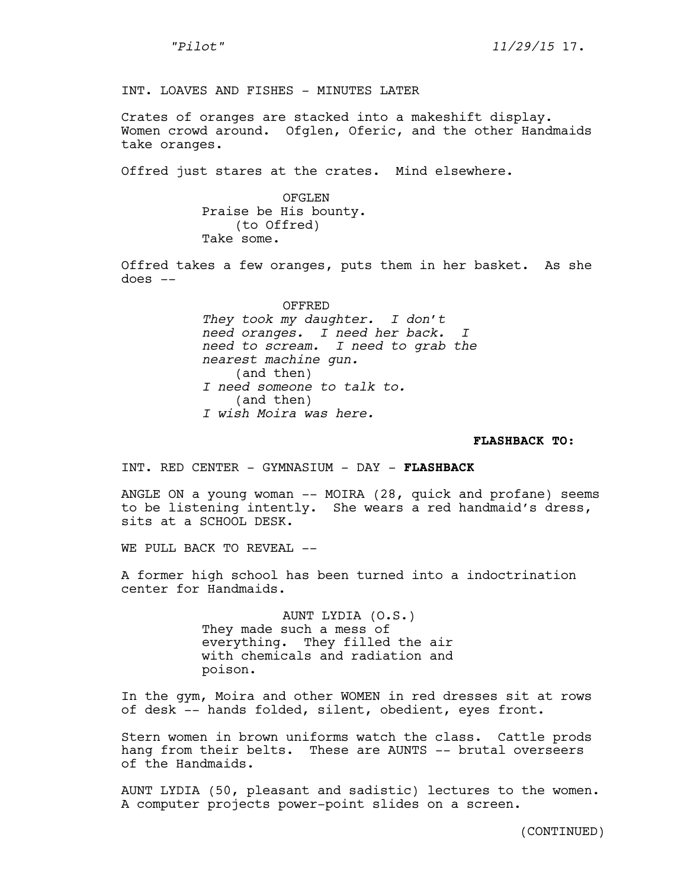INT. LOAVES AND FISHES - MINUTES LATER

Crates of oranges are stacked into a makeshift display. Women crowd around. Ofglen, Oferic, and the other Handmaids take oranges.

Offred just stares at the crates. Mind elsewhere.

OFGLEN Praise be His bounty. (to Offred) Take some.

Offred takes a few oranges, puts them in her basket. As she does --

> OFFRED *They took my daughter. I don't need oranges. I need her back. I need to scream. I need to grab the nearest machine gun.*  (and then) *I need someone to talk to.* (and then) *I wish Moira was here.*

#### **FLASHBACK TO:**

INT. RED CENTER - GYMNASIUM - DAY - **FLASHBACK**

ANGLE ON a young woman -- MOIRA (28, quick and profane) seems to be listening intently. She wears a red handmaid's dress, sits at a SCHOOL DESK.

WE PULL BACK TO REVEAL --

A former high school has been turned into a indoctrination center for Handmaids.

> AUNT LYDIA (O.S.) They made such a mess of everything. They filled the air with chemicals and radiation and poison.

In the gym, Moira and other WOMEN in red dresses sit at rows of desk -- hands folded, silent, obedient, eyes front.

Stern women in brown uniforms watch the class. Cattle prods hang from their belts. These are AUNTS -- brutal overseers of the Handmaids.

AUNT LYDIA (50, pleasant and sadistic) lectures to the women. A computer projects power-point slides on a screen.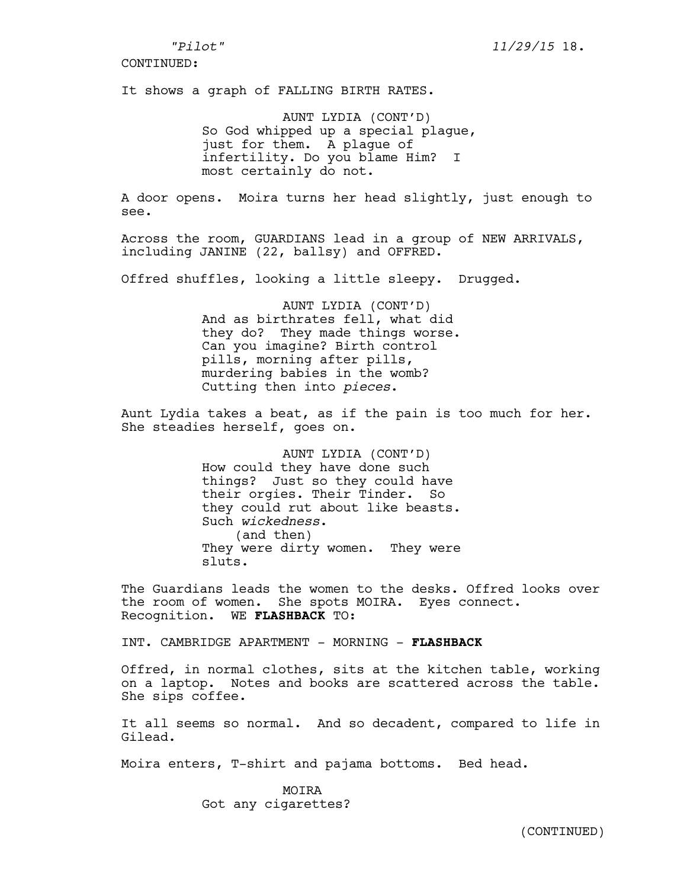It shows a graph of FALLING BIRTH RATES.

AUNT LYDIA (CONT'D) So God whipped up a special plague, just for them. A plague of infertility. Do you blame Him? I most certainly do not.

A door opens. Moira turns her head slightly, just enough to see.

Across the room, GUARDIANS lead in a group of NEW ARRIVALS, including JANINE (22, ballsy) and OFFRED.

Offred shuffles, looking a little sleepy. Drugged.

AUNT LYDIA (CONT'D) And as birthrates fell, what did they do? They made things worse. Can you imagine? Birth control pills, morning after pills, murdering babies in the womb? Cutting then into *pieces*.

Aunt Lydia takes a beat, as if the pain is too much for her. She steadies herself, goes on.

> AUNT LYDIA (CONT'D) How could they have done such things? Just so they could have their orgies. Their Tinder. So they could rut about like beasts. Such *wickedness*. (and then) They were dirty women. They were sluts.

The Guardians leads the women to the desks. Offred looks over the room of women. She spots MOIRA. Eyes connect. Recognition. WE **FLASHBACK** TO:

INT. CAMBRIDGE APARTMENT - MORNING - **FLASHBACK**

Offred, in normal clothes, sits at the kitchen table, working on a laptop. Notes and books are scattered across the table. She sips coffee.

It all seems so normal. And so decadent, compared to life in Gilead.

Moira enters, T-shirt and pajama bottoms. Bed head.

MOIRA Got any cigarettes?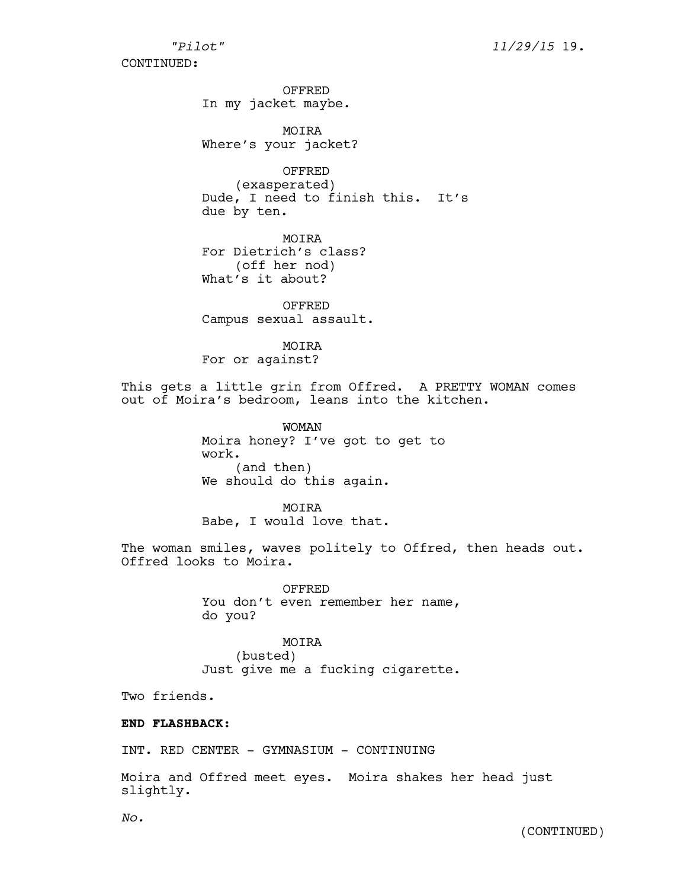OFFRED In my jacket maybe.

MOIRA Where's your jacket?

OFFRED (exasperated) Dude, I need to finish this. It's due by ten.

MOIRA For Dietrich's class? (off her nod) What's it about?

OFFRED Campus sexual assault.

MOIRA For or against?

This gets a little grin from Offred. A PRETTY WOMAN comes out of Moira's bedroom, leans into the kitchen.

> WOMAN Moira honey? I've got to get to work. (and then) We should do this again.

MOIRA Babe, I would love that.

The woman smiles, waves politely to Offred, then heads out. Offred looks to Moira.

> OFFRED You don't even remember her name, do you?

> MOIRA (busted) Just give me a fucking cigarette.

Two friends.

### **END FLASHBACK:**

INT. RED CENTER - GYMNASIUM - CONTINUING

Moira and Offred meet eyes. Moira shakes her head just slightly.

*No.*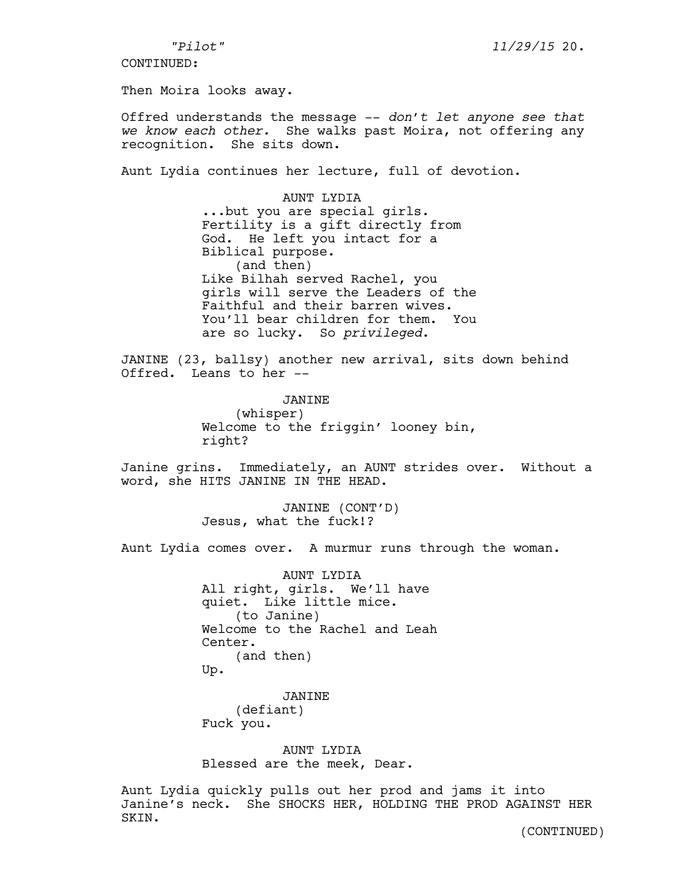Then Moira looks away.

Offred understands the message -- *don't let anyone see that we know each other.* She walks past Moira, not offering any recognition. She sits down.

Aunt Lydia continues her lecture, full of devotion.

AUNT LYDIA ...but you are special girls. Fertility is a gift directly from God. He left you intact for a Biblical purpose. (and then) Like Bilhah served Rachel, you girls will serve the Leaders of the Faithful and their barren wives. You'll bear children for them. You are so lucky. So *privileged*.

JANINE (23, ballsy) another new arrival, sits down behind Offred. Leans to her --

> JANINE (whisper) Welcome to the friggin' looney bin, right?

Janine grins. Immediately, an AUNT strides over. Without a word, she HITS JANINE IN THE HEAD.

> JANINE (CONT'D) Jesus, what the fuck!?

Aunt Lydia comes over. A murmur runs through the woman.

AUNT LYDIA All right, girls. We'll have quiet. Like little mice. (to Janine) Welcome to the Rachel and Leah Center. (and then) Up.

JANINE (defiant) Fuck you.

AUNT LYDIA Blessed are the meek, Dear.

Aunt Lydia quickly pulls out her prod and jams it into Janine's neck. She SHOCKS HER, HOLDING THE PROD AGAINST HER SKIN.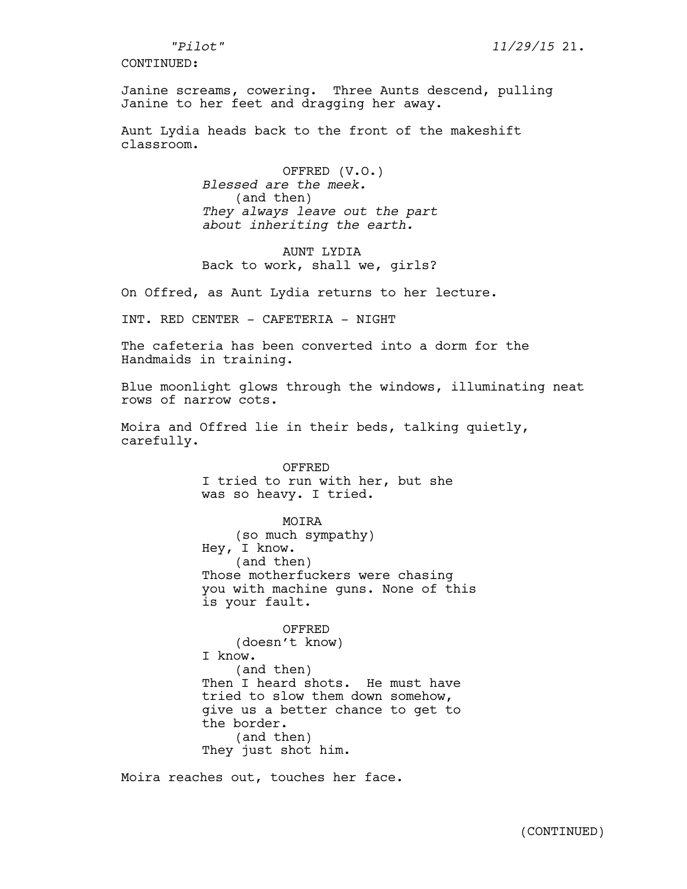Janine screams, cowering. Three Aunts descend, pulling Janine to her feet and dragging her away.

Aunt Lydia heads back to the front of the makeshift classroom.

> OFFRED (V.O.) *Blessed are the meek.*  (and then) *They always leave out the part about inheriting the earth.*

> AUNT LYDIA Back to work, shall we, girls?

On Offred, as Aunt Lydia returns to her lecture.

INT. RED CENTER - CAFETERIA - NIGHT

The cafeteria has been converted into a dorm for the Handmaids in training.

Blue moonlight glows through the windows, illuminating neat rows of narrow cots.

Moira and Offred lie in their beds, talking quietly, carefully.

> OFFRED I tried to run with her, but she was so heavy. I tried.

MOIRA (so much sympathy) Hey, I know. (and then) Those motherfuckers were chasing you with machine guns. None of this is your fault.

OFFRED (doesn't know) I know. (and then) Then I heard shots. He must have tried to slow them down somehow, give us a better chance to get to the border. (and then) They just shot him.

Moira reaches out, touches her face.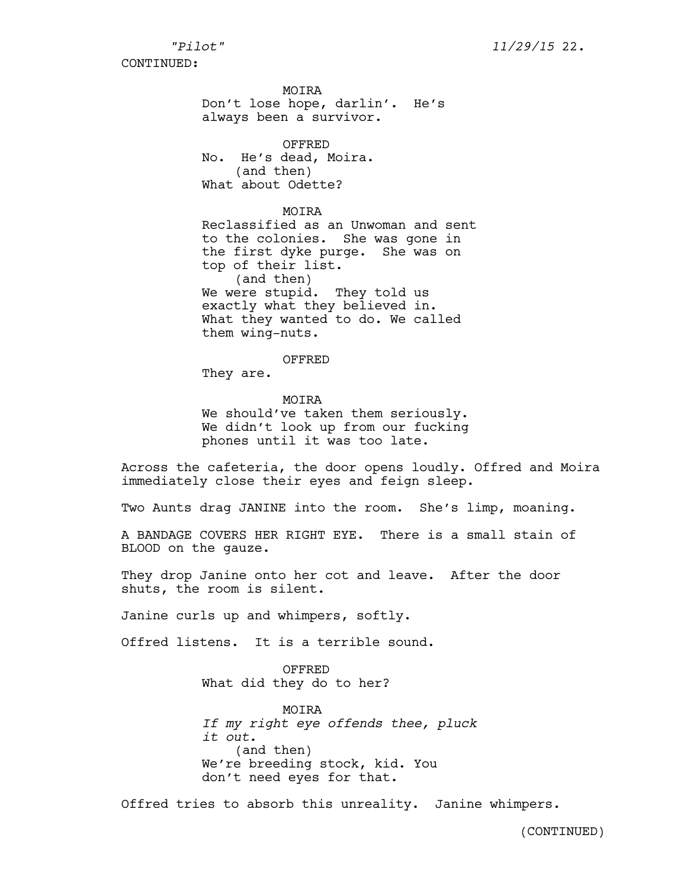**MOTRA** Don't lose hope, darlin'. He's always been a survivor.

OFFRED No. He's dead, Moira. (and then) What about Odette?

MOIRA Reclassified as an Unwoman and sent to the colonies. She was gone in the first dyke purge. She was on top of their list. (and then) We were stupid. They told us exactly what they believed in. What they wanted to do. We called them wing-nuts.

OFFRED

They are.

MOIRA We should've taken them seriously. We didn't look up from our fucking phones until it was too late.

Across the cafeteria, the door opens loudly. Offred and Moira immediately close their eyes and feign sleep.

Two Aunts drag JANINE into the room. She's limp, moaning.

A BANDAGE COVERS HER RIGHT EYE. There is a small stain of BLOOD on the gauze.

They drop Janine onto her cot and leave. After the door shuts, the room is silent.

Janine curls up and whimpers, softly.

Offred listens. It is a terrible sound.

OFFRED What did they do to her?

MOIRA *If my right eye offends thee, pluck it out.*  (and then) We're breeding stock, kid. You don't need eyes for that.

Offred tries to absorb this unreality. Janine whimpers.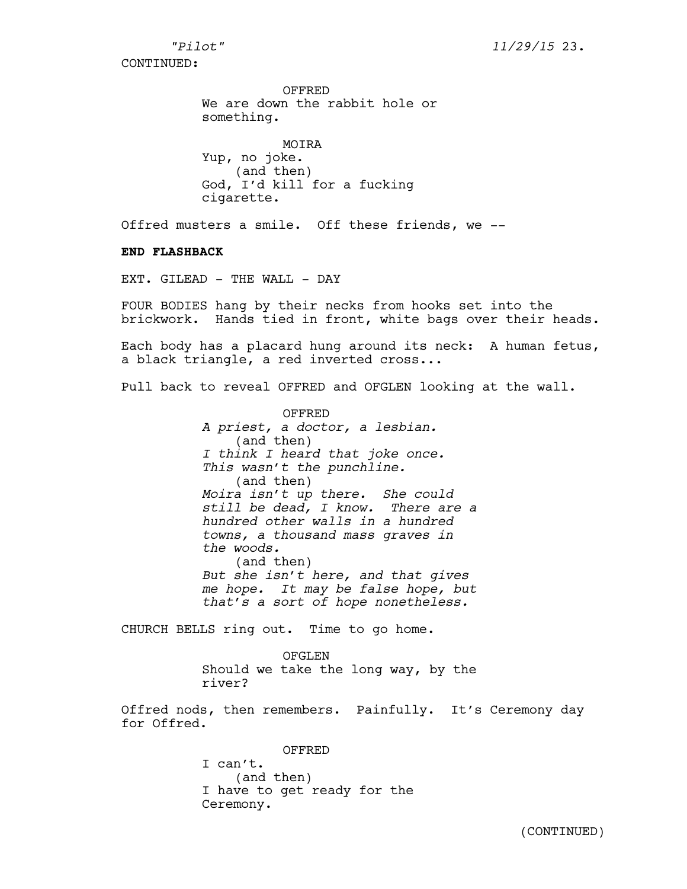OFFRED We are down the rabbit hole or something.

MOIRA Yup, no joke. (and then) God, I'd kill for a fucking cigarette.

Offred musters a smile. Off these friends, we --

### **END FLASHBACK**

EXT. GILEAD - THE WALL - DAY

FOUR BODIES hang by their necks from hooks set into the brickwork. Hands tied in front, white bags over their heads.

Each body has a placard hung around its neck: A human fetus, a black triangle, a red inverted cross...

Pull back to reveal OFFRED and OFGLEN looking at the wall.

OFFRED *A priest, a doctor, a lesbian.*  (and then) *I think I heard that joke once. This wasn't the punchline.* (and then) *Moira isn't up there. She could still be dead, I know. There are a hundred other walls in a hundred towns, a thousand mass graves in the woods.* (and then) *But she isn't here, and that gives me hope. It may be false hope, but that's a sort of hope nonetheless.* 

CHURCH BELLS ring out. Time to go home.

OFGLEN Should we take the long way, by the river?

Offred nods, then remembers. Painfully. It's Ceremony day for Offred.

> OFFRED I can't. (and then) I have to get ready for the Ceremony.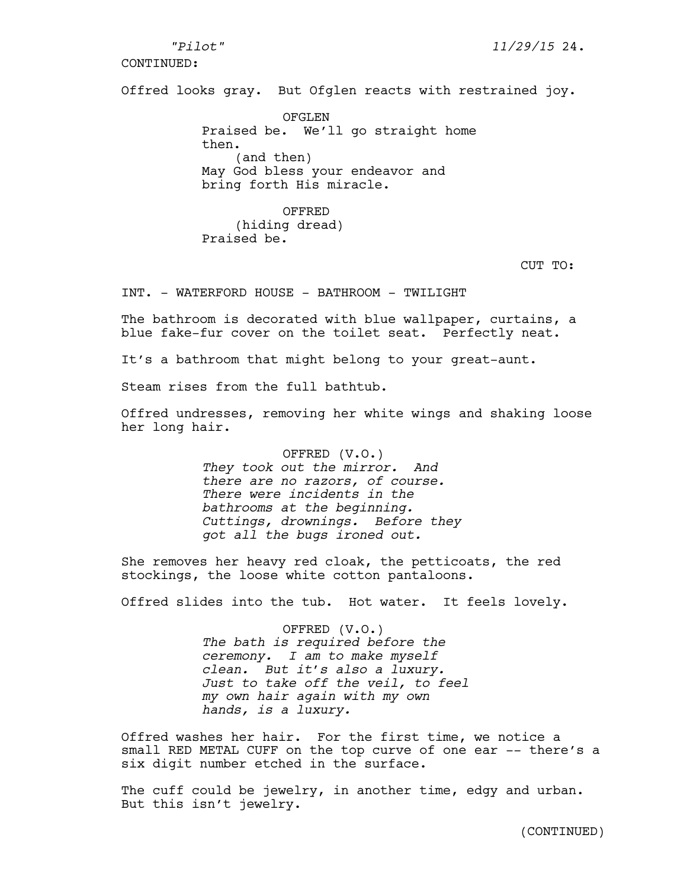*"Pilot" 11/29/15* 24.

CONTINUED:

Offred looks gray. But Ofglen reacts with restrained joy.

OFGLEN Praised be. We'll go straight home then. (and then) May God bless your endeavor and bring forth His miracle.

OFFRED (hiding dread) Praised be.

CUT TO:

INT. - WATERFORD HOUSE - BATHROOM - TWILIGHT

The bathroom is decorated with blue wallpaper, curtains, a blue fake-fur cover on the toilet seat. Perfectly neat.

It's a bathroom that might belong to your great-aunt.

Steam rises from the full bathtub.

Offred undresses, removing her white wings and shaking loose her long hair.

> OFFRED (V.O.) *They took out the mirror. And there are no razors, of course. There were incidents in the bathrooms at the beginning. Cuttings, drownings. Before they got all the bugs ironed out.*

She removes her heavy red cloak, the petticoats, the red stockings, the loose white cotton pantaloons.

Offred slides into the tub. Hot water. It feels lovely.

OFFRED (V.O.) *The bath is required before the ceremony. I am to make myself clean. But it's also a luxury. Just to take off the veil, to feel my own hair again with my own hands, is a luxury.* 

Offred washes her hair. For the first time, we notice a small RED METAL CUFF on the top curve of one ear -- there's a six digit number etched in the surface.

The cuff could be jewelry, in another time, edgy and urban. But this isn't jewelry.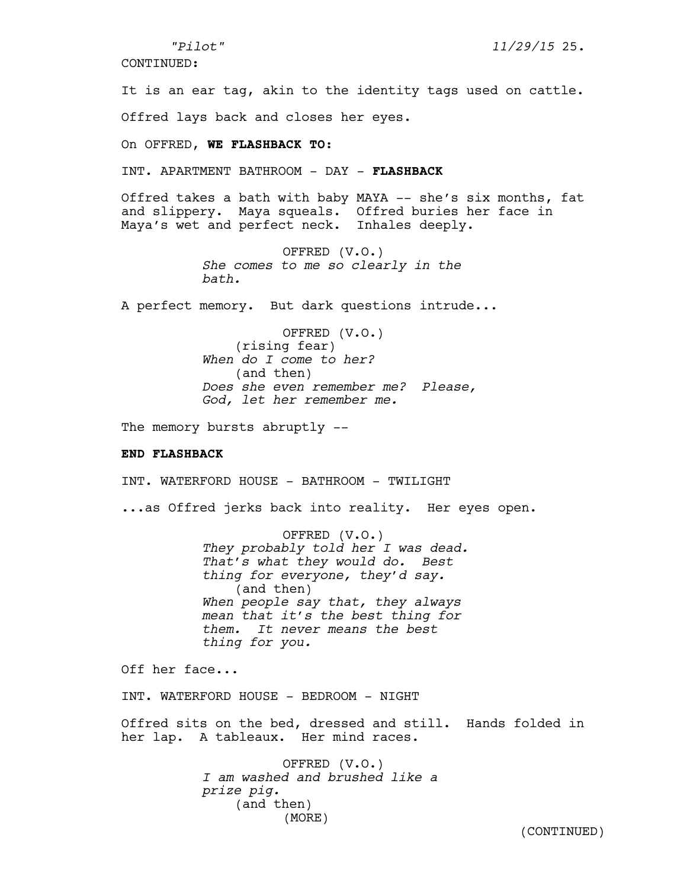*"Pilot" 11/29/15* 25.

CONTINUED:

It is an ear tag, akin to the identity tags used on cattle. Offred lays back and closes her eyes.

On OFFRED, **WE FLASHBACK TO:**

INT. APARTMENT BATHROOM - DAY - **FLASHBACK**

Offred takes a bath with baby MAYA -- she's six months, fat and slippery. Maya squeals. Offred buries her face in Maya's wet and perfect neck. Inhales deeply.

> OFFRED (V.O.) *She comes to me so clearly in the bath.*

A perfect memory. But dark questions intrude...

OFFRED (V.O.) (rising fear) *When do I come to her?*  (and then) *Does she even remember me? Please, God, let her remember me.*

The memory bursts abruptly --

### **END FLASHBACK**

INT. WATERFORD HOUSE - BATHROOM - TWILIGHT

...as Offred jerks back into reality. Her eyes open.

OFFRED (V.O.) *They probably told her I was dead. That's what they would do. Best thing for everyone, they'd say.* (and then) *When people say that, they always mean that it's the best thing for them. It never means the best thing for you.*

Off her face...

INT. WATERFORD HOUSE - BEDROOM - NIGHT

Offred sits on the bed, dressed and still. Hands folded in her lap. A tableaux. Her mind races.

> OFFRED (V.O.) *I am washed and brushed like a prize pig.*  (and then) (MORE)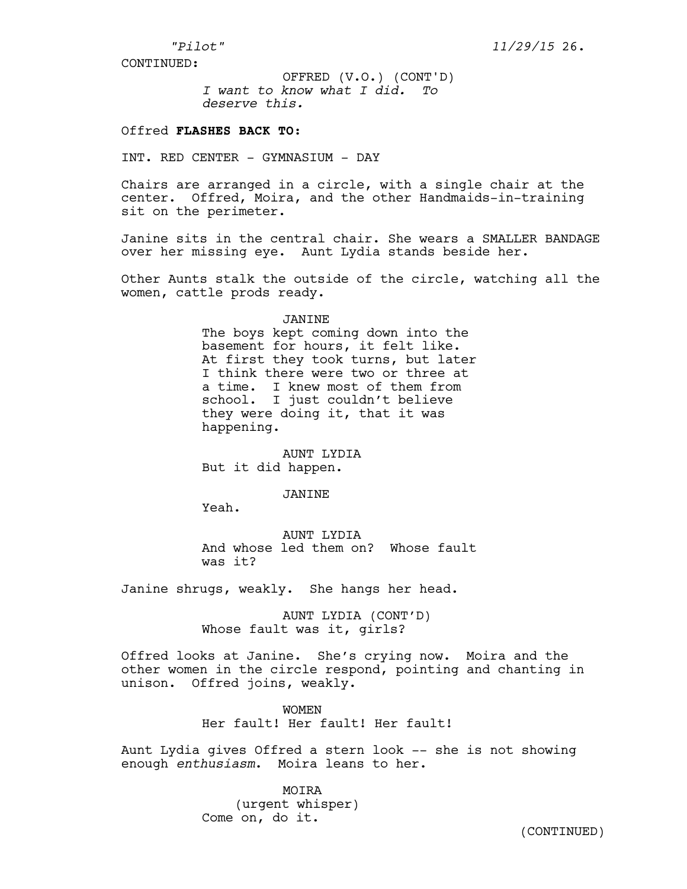*I want to know what I did. To deserve this.*  OFFRED (V.O.) (CONT'D)

## Offred **FLASHES BACK TO:**

INT. RED CENTER - GYMNASIUM - DAY

Chairs are arranged in a circle, with a single chair at the center. Offred, Moira, and the other Handmaids-in-training sit on the perimeter.

Janine sits in the central chair. She wears a SMALLER BANDAGE over her missing eye. Aunt Lydia stands beside her.

Other Aunts stalk the outside of the circle, watching all the women, cattle prods ready.

#### JANINE

The boys kept coming down into the basement for hours, it felt like. At first they took turns, but later I think there were two or three at a time. I knew most of them from school. I just couldn't believe they were doing it, that it was happening.

AUNT LYDIA But it did happen.

### JANINE

Yeah.

AUNT LYDIA And whose led them on? Whose fault was it?

Janine shrugs, weakly. She hangs her head.

AUNT LYDIA (CONT'D) Whose fault was it, girls?

Offred looks at Janine. She's crying now. Moira and the other women in the circle respond, pointing and chanting in unison. Offred joins, weakly.

> WOMEN Her fault! Her fault! Her fault!

Aunt Lydia gives Offred a stern look -- she is not showing enough *enthusiasm*. Moira leans to her.

> MOIRA (urgent whisper) Come on, do it.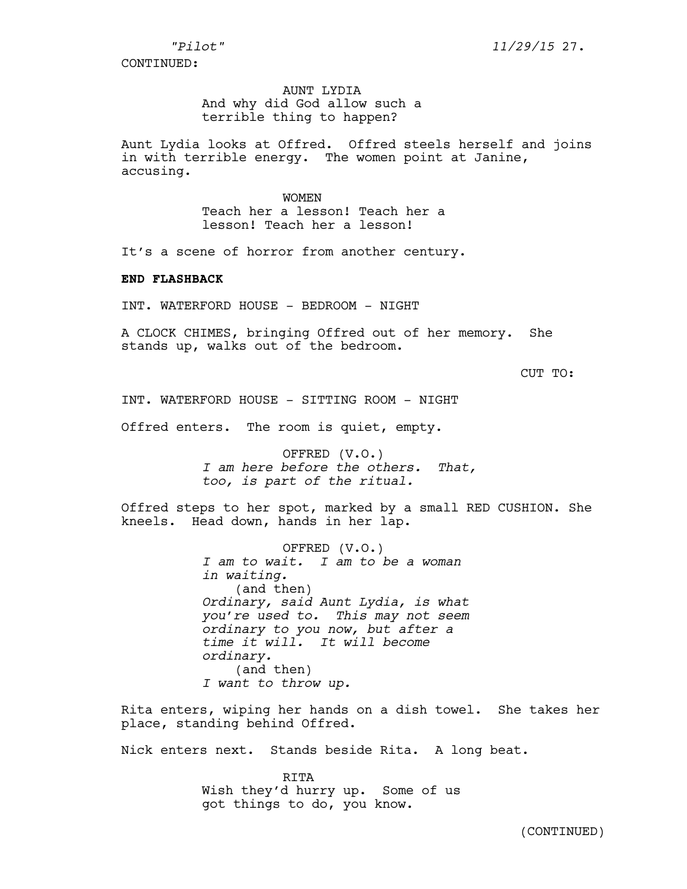# AUNT LYDIA And why did God allow such a terrible thing to happen?

Aunt Lydia looks at Offred. Offred steels herself and joins in with terrible energy. The women point at Janine, accusing.

> WOMEN Teach her a lesson! Teach her a lesson! Teach her a lesson!

It's a scene of horror from another century.

### **END FLASHBACK**

INT. WATERFORD HOUSE - BEDROOM - NIGHT

A CLOCK CHIMES, bringing Offred out of her memory. She stands up, walks out of the bedroom.

CUT TO:

INT. WATERFORD HOUSE - SITTING ROOM - NIGHT

Offred enters. The room is quiet, empty.

OFFRED (V.O.) *I am here before the others. That, too, is part of the ritual.* 

Offred steps to her spot, marked by a small RED CUSHION. She kneels. Head down, hands in her lap.

> OFFRED (V.O.) *I am to wait. I am to be a woman in waiting.* (and then) *Ordinary, said Aunt Lydia, is what you're used to. This may not seem ordinary to you now, but after a time it will. It will become ordinary.*  (and then) *I want to throw up.*

Rita enters, wiping her hands on a dish towel. She takes her place, standing behind Offred.

Nick enters next. Stands beside Rita. A long beat.

RITA Wish they'd hurry up. Some of us got things to do, you know.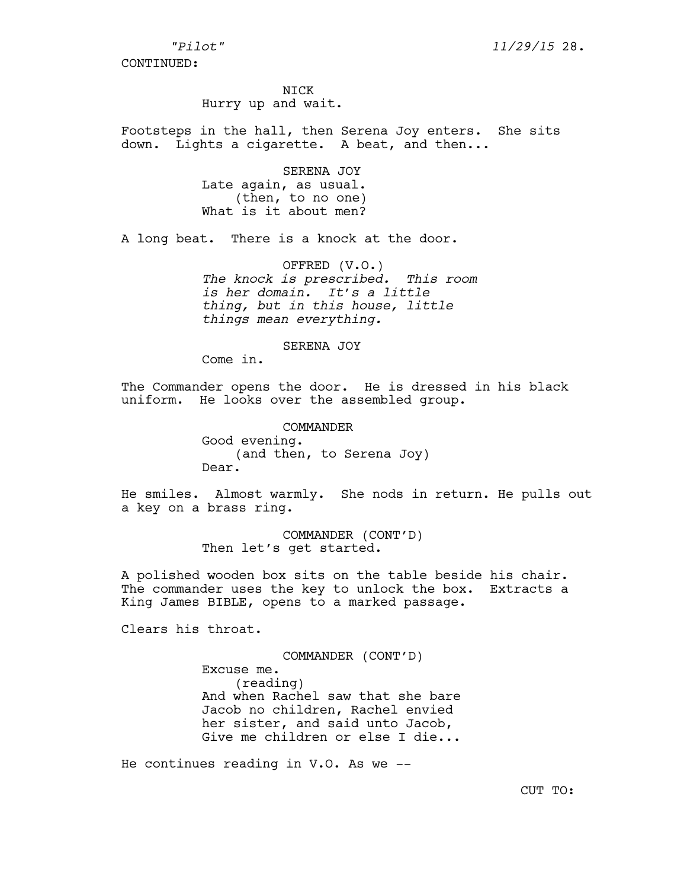NICK

Hurry up and wait.

Footsteps in the hall, then Serena Joy enters. She sits down. Lights a cigarette. A beat, and then...

> SERENA JOY Late again, as usual. (then, to no one) What is it about men?

A long beat. There is a knock at the door.

OFFRED (V.O.) *The knock is prescribed. This room is her domain. It's a little thing, but in this house, little things mean everything.* 

#### SERENA JOY

Come in.

The Commander opens the door. He is dressed in his black uniform. He looks over the assembled group.

> COMMANDER Good evening. (and then, to Serena Joy) Dear.

He smiles. Almost warmly. She nods in return. He pulls out a key on a brass ring.

> COMMANDER (CONT'D) Then let's get started.

A polished wooden box sits on the table beside his chair. The commander uses the key to unlock the box. Extracts a King James BIBLE, opens to a marked passage.

Clears his throat.

COMMANDER (CONT'D) Excuse me. (reading) And when Rachel saw that she bare Jacob no children, Rachel envied her sister, and said unto Jacob, Give me children or else I die...

He continues reading in V.O. As we --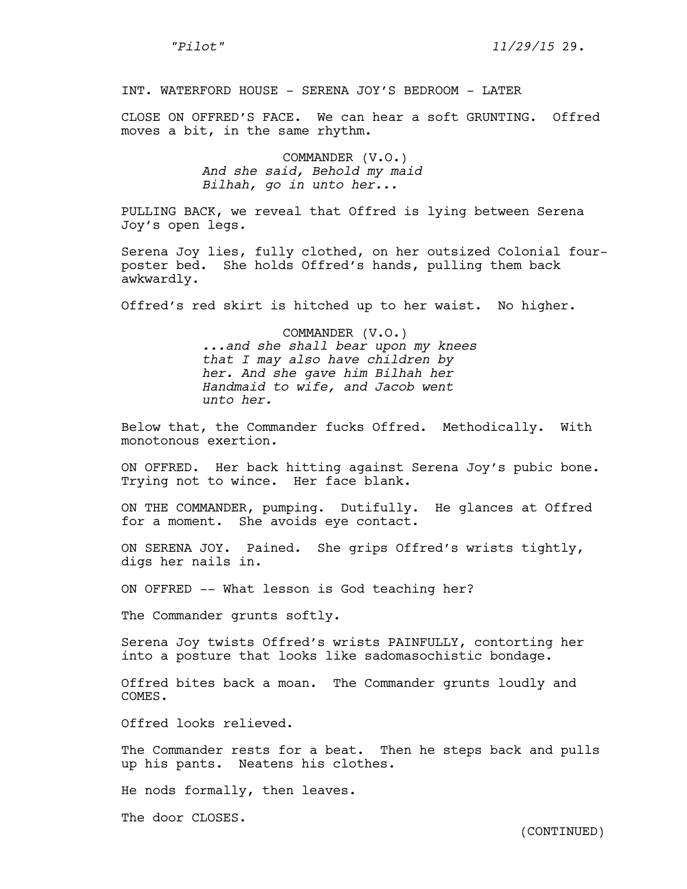INT. WATERFORD HOUSE - SERENA JOY'S BEDROOM - LATER

CLOSE ON OFFRED'S FACE. We can hear a soft GRUNTING. Offred moves a bit, in the same rhythm.

> COMMANDER (V.O.) *And she said, Behold my maid Bilhah, go in unto her...*

PULLING BACK, we reveal that Offred is lying between Serena Joy's open legs.

Serena Joy lies, fully clothed, on her outsized Colonial fourposter bed. She holds Offred's hands, pulling them back awkwardly.

Offred's red skirt is hitched up to her waist. No higher.

COMMANDER (V.O.) *...and she shall bear upon my knees that I may also have children by her. And she gave him Bilhah her Handmaid to wife, and Jacob went unto her.* 

Below that, the Commander fucks Offred. Methodically. With monotonous exertion.

ON OFFRED. Her back hitting against Serena Joy's pubic bone. Trying not to wince. Her face blank.

ON THE COMMANDER, pumping. Dutifully. He glances at Offred for a moment. She avoids eye contact.

ON SERENA JOY. Pained. She grips Offred's wrists tightly, digs her nails in.

ON OFFRED -- What lesson is God teaching her?

The Commander grunts softly.

Serena Joy twists Offred's wrists PAINFULLY, contorting her into a posture that looks like sadomasochistic bondage.

Offred bites back a moan. The Commander grunts loudly and COMES.

Offred looks relieved.

The Commander rests for a beat. Then he steps back and pulls up his pants. Neatens his clothes.

He nods formally, then leaves.

The door CLOSES.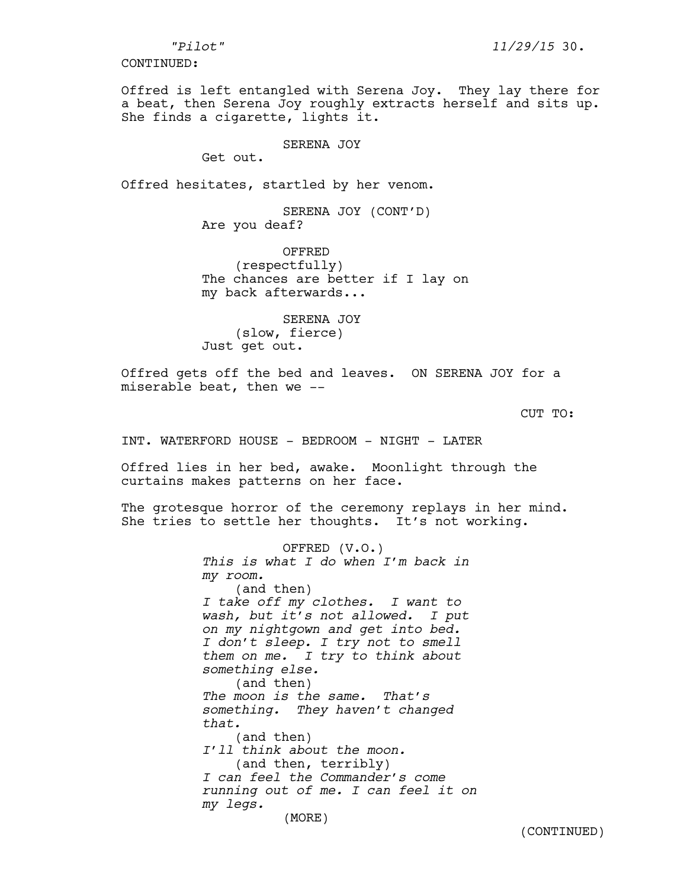Offred is left entangled with Serena Joy. They lay there for a beat, then Serena Joy roughly extracts herself and sits up. She finds a cigarette, lights it.

SERENA JOY

Get out.

Offred hesitates, startled by her venom.

SERENA JOY (CONT'D) Are you deaf?

OFFRED (respectfully) The chances are better if I lay on my back afterwards...

SERENA JOY (slow, fierce) Just get out.

Offred gets off the bed and leaves. ON SERENA JOY for a miserable beat, then we --

CUT TO:

INT. WATERFORD HOUSE - BEDROOM - NIGHT - LATER

Offred lies in her bed, awake. Moonlight through the curtains makes patterns on her face.

The grotesque horror of the ceremony replays in her mind. She tries to settle her thoughts. It's not working.

> OFFRED (V.O.) *This is what I do when I'm back in my room.*  (and then) *I take off my clothes. I want to wash, but it's not allowed. I put on my nightgown and get into bed. I don't sleep. I try not to smell them on me. I try to think about something else.*  (and then) *The moon is the same. That's something. They haven't changed that.* (and then) *I'll think about the moon.* (and then, terribly) *I can feel the Commander's come running out of me. I can feel it on my legs.*  (MORE)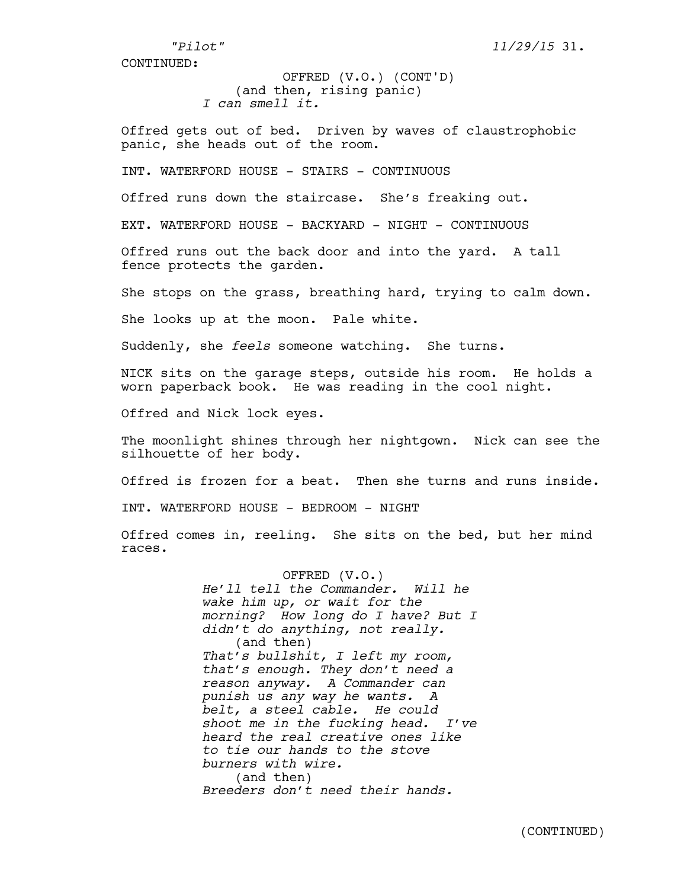*"Pilot" 11/29/15* 31.

CONTINUED:

(and then, rising panic) *I can smell it.* OFFRED (V.O.) (CONT'D)

Offred gets out of bed. Driven by waves of claustrophobic panic, she heads out of the room.

INT. WATERFORD HOUSE - STAIRS - CONTINUOUS

Offred runs down the staircase. She's freaking out.

EXT. WATERFORD HOUSE - BACKYARD - NIGHT - CONTINUOUS

Offred runs out the back door and into the yard. A tall fence protects the garden.

She stops on the grass, breathing hard, trying to calm down.

She looks up at the moon. Pale white.

Suddenly, she *feels* someone watching. She turns.

NICK sits on the garage steps, outside his room. He holds a worn paperback book. He was reading in the cool night.

Offred and Nick lock eyes.

The moonlight shines through her nightgown. Nick can see the silhouette of her body.

Offred is frozen for a beat. Then she turns and runs inside.

INT. WATERFORD HOUSE - BEDROOM - NIGHT

Offred comes in, reeling. She sits on the bed, but her mind races.

> OFFRED (V.O.) *He'll tell the Commander. Will he wake him up, or wait for the morning? How long do I have? But I didn't do anything, not really.* (and then) *That's bullshit, I left my room, that's enough. They don't need a reason anyway. A Commander can punish us any way he wants. A belt, a steel cable. He could shoot me in the fucking head. I've heard the real creative ones like to tie our hands to the stove burners with wire.*  (and then) *Breeders don't need their hands.*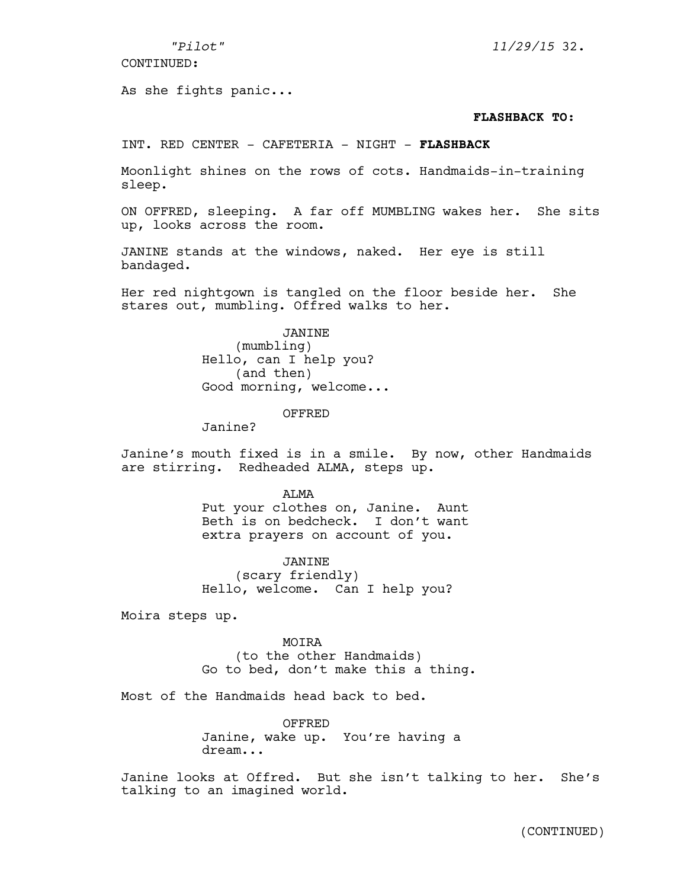As she fights panic...

# *"Pilot" 11/29/15* 32.

## **FLASHBACK TO:**

INT. RED CENTER - CAFETERIA - NIGHT - **FLASHBACK**

Moonlight shines on the rows of cots. Handmaids-in-training sleep.

ON OFFRED, sleeping. A far off MUMBLING wakes her. She sits up, looks across the room.

JANINE stands at the windows, naked. Her eye is still bandaged.

Her red nightgown is tangled on the floor beside her. She stares out, mumbling. Offred walks to her.

JANINE

(mumbling) Hello, can I help you? (and then) Good morning, welcome...

## OFFRED

Janine?

Janine's mouth fixed is in a smile. By now, other Handmaids are stirring. Redheaded ALMA, steps up.

> ALMA Put your clothes on, Janine. Aunt Beth is on bedcheck. I don't want extra prayers on account of you.

JANINE (scary friendly) Hello, welcome. Can I help you?

Moira steps up.

MOIRA

(to the other Handmaids) Go to bed, don't make this a thing.

Most of the Handmaids head back to bed.

OFFRED Janine, wake up. You're having a dream...

Janine looks at Offred. But she isn't talking to her. She's talking to an imagined world.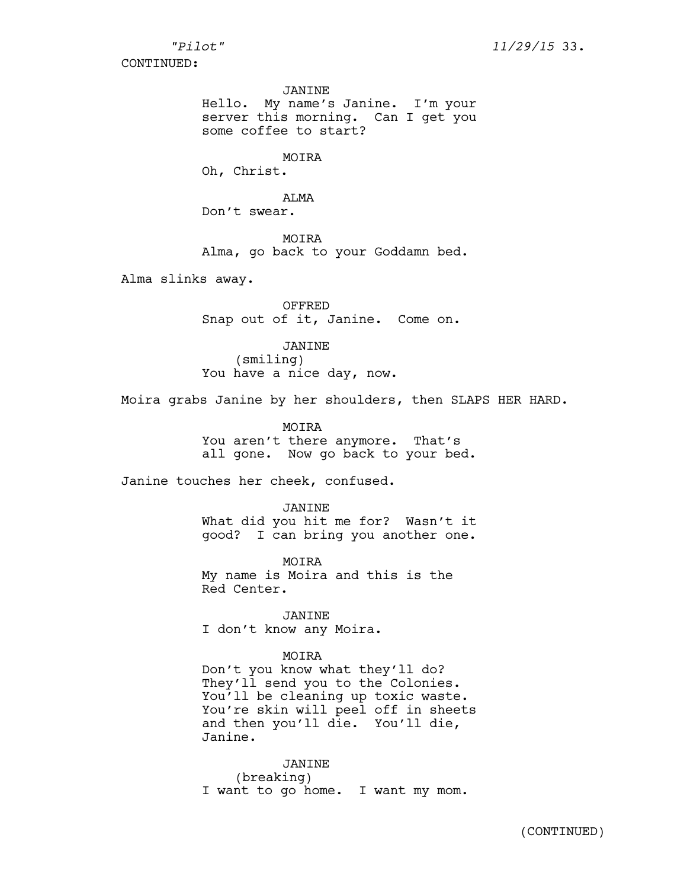JANINE

Hello. My name's Janine. I'm your server this morning. Can I get you some coffee to start?

MOTRA

Oh, Christ.

ALMA Don't swear.

MOIRA Alma, go back to your Goddamn bed.

Alma slinks away.

OFFRED Snap out of it, Janine. Come on.

JANINE (smiling) You have a nice day, now.

Moira grabs Janine by her shoulders, then SLAPS HER HARD.

MOIRA You aren't there anymore. That's all gone. Now go back to your bed.

Janine touches her cheek, confused.

JANINE What did you hit me for? Wasn't it good? I can bring you another one.

MOIRA My name is Moira and this is the Red Center.

JANINE I don't know any Moira.

MOIRA

Don't you know what they'll do? They'll send you to the Colonies. You'll be cleaning up toxic waste. You're skin will peel off in sheets and then you'll die. You'll die, Janine.

JANINE (breaking) I want to go home. I want my mom.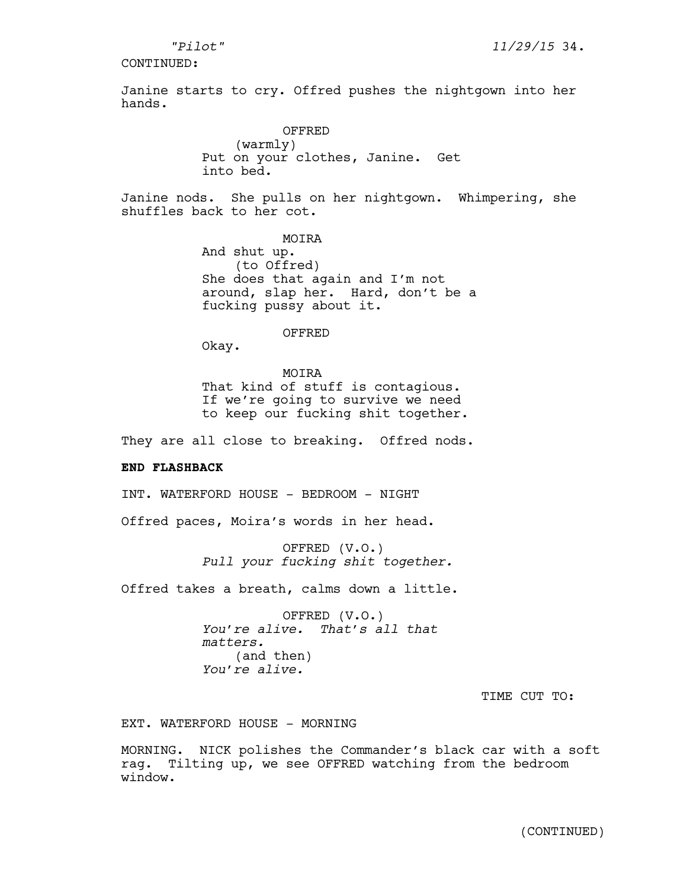Janine starts to cry. Offred pushes the nightgown into her hands.

> OFFRED (warmly) Put on your clothes, Janine. Get into bed.

Janine nods. She pulls on her nightgown. Whimpering, she shuffles back to her cot.

> MOTRA And shut up. (to Offred) She does that again and I'm not around, slap her. Hard, don't be a fucking pussy about it.

> > OFFRED

Okay.

MOIRA That kind of stuff is contagious. If we're going to survive we need to keep our fucking shit together.

They are all close to breaking. Offred nods.

### **END FLASHBACK**

INT. WATERFORD HOUSE - BEDROOM - NIGHT

Offred paces, Moira's words in her head.

OFFRED (V.O.) *Pull your fucking shit together.* 

Offred takes a breath, calms down a little.

OFFRED (V.O.) *You're alive. That's all that matters.*  (and then) *You're alive.*

TIME CUT TO:

EXT. WATERFORD HOUSE - MORNING

MORNING. NICK polishes the Commander's black car with a soft rag. Tilting up, we see OFFRED watching from the bedroom window.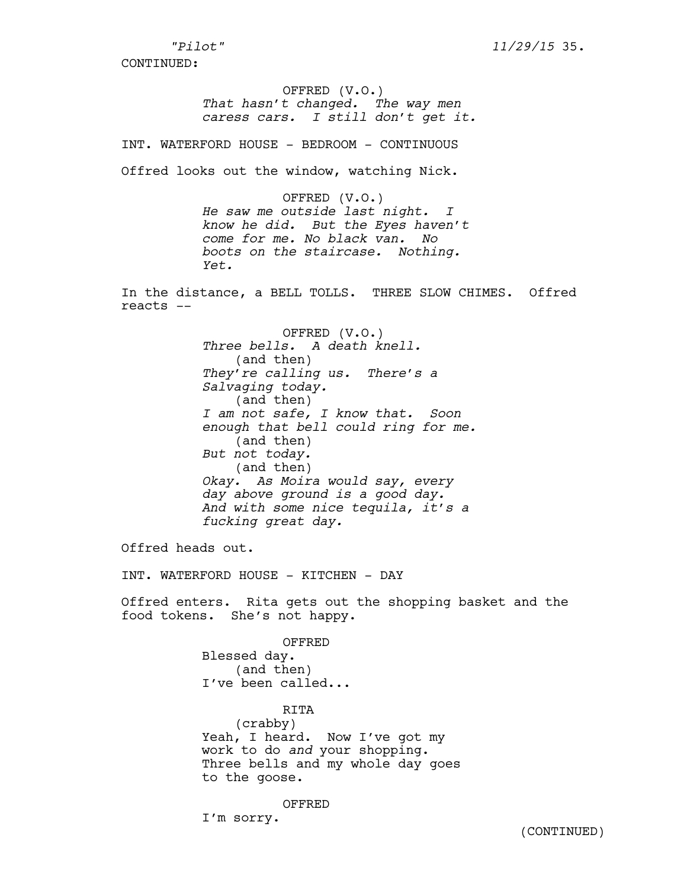## OFFRED (V.O.) *That hasn't changed. The way men caress cars. I still don't get it.*

INT. WATERFORD HOUSE - BEDROOM - CONTINUOUS

Offred looks out the window, watching Nick.

OFFRED (V.O.) *He saw me outside last night. I know he did. But the Eyes haven't come for me. No black van. No boots on the staircase. Nothing. Yet.*

In the distance, a BELL TOLLS. THREE SLOW CHIMES. Offred reacts --

> OFFRED (V.O.) *Three bells. A death knell.* (and then) *They're calling us. There's a Salvaging today.*  (and then) *I am not safe, I know that. Soon enough that bell could ring for me.*  (and then) *But not today.*  (and then) *Okay. As Moira would say, every day above ground is a good day. And with some nice tequila, it's a fucking great day.*

Offred heads out.

INT. WATERFORD HOUSE - KITCHEN - DAY

Offred enters. Rita gets out the shopping basket and the food tokens. She's not happy.

> OFFRED Blessed day. (and then) I've been called...

RITA (crabby) Yeah, I heard. Now I've got my work to do *and* your shopping. Three bells and my whole day goes to the goose.

OFFRED I'm sorry.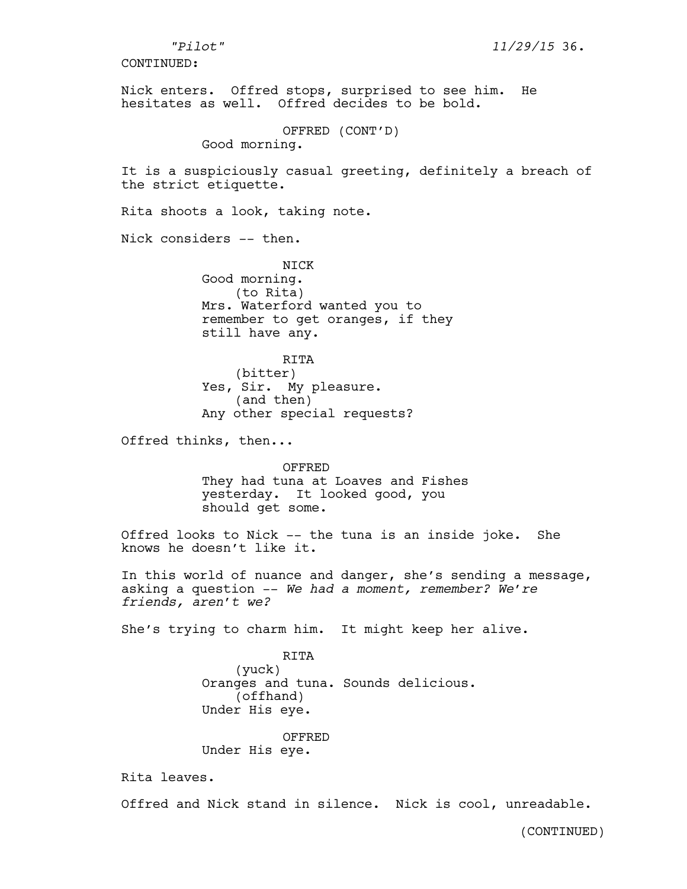Nick enters. Offred stops, surprised to see him. He hesitates as well. Offred decides to be bold. OFFRED (CONT'D) Good morning. It is a suspiciously casual greeting, definitely a breach of the strict etiquette. Rita shoots a look, taking note. Nick considers -- then. NICK Good morning. (to Rita) Mrs. Waterford wanted you to remember to get oranges, if they still have any. RITA (bitter) Yes, Sir. My pleasure. (and then) Any other special requests? Offred thinks, then... OFFRED They had tuna at Loaves and Fishes yesterday. It looked good, you should get some. Offred looks to Nick -- the tuna is an inside joke. She knows he doesn't like it. In this world of nuance and danger, she's sending a message, asking a question -- *We had a moment, remember? We're friends, aren't we?*  She's trying to charm him. It might keep her alive. RITA (yuck) Oranges and tuna. Sounds delicious. (offhand) Under His eye. OFFRED Under His eye. Rita leaves. Offred and Nick stand in silence. Nick is cool, unreadable. *"Pilot" 11/29/15* 36. CONTINUED: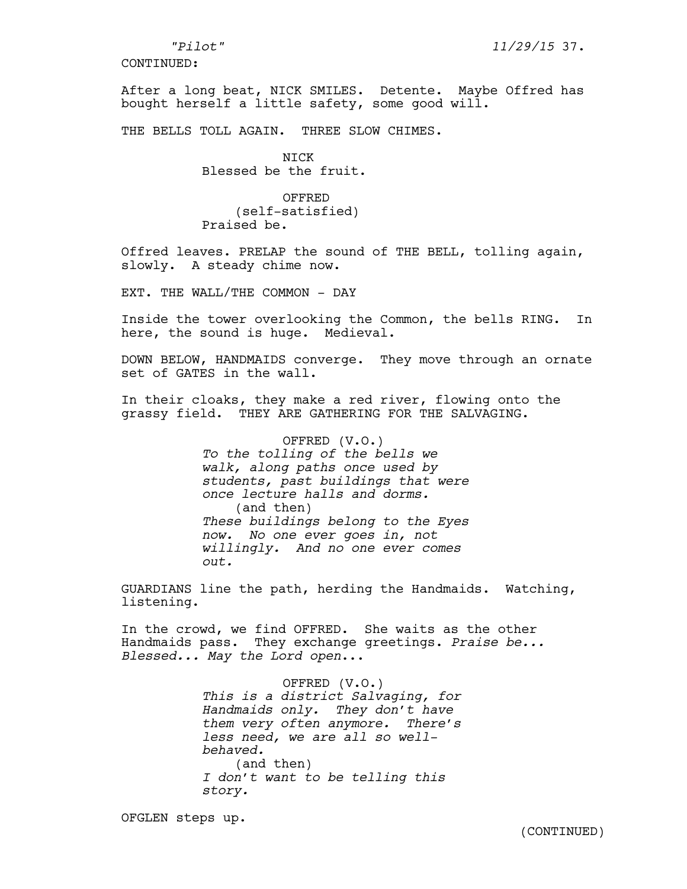After a long beat, NICK SMILES. Detente. Maybe Offred has bought herself a little safety, some good will.

THE BELLS TOLL AGAIN. THREE SLOW CHIMES.

NICK Blessed be the fruit.

OFFRED (self-satisfied) Praised be.

Offred leaves. PRELAP the sound of THE BELL, tolling again, slowly. A steady chime now.

EXT. THE WALL/THE COMMON - DAY

Inside the tower overlooking the Common, the bells RING. In here, the sound is huge. Medieval.

DOWN BELOW, HANDMAIDS converge. They move through an ornate set of GATES in the wall.

In their cloaks, they make a red river, flowing onto the grassy field. THEY ARE GATHERING FOR THE SALVAGING.

> OFFRED (V.O.) *To the tolling of the bells we walk, along paths once used by students, past buildings that were once lecture halls and dorms.* (and then) *These buildings belong to the Eyes now. No one ever goes in, not willingly. And no one ever comes out.*

GUARDIANS line the path, herding the Handmaids. Watching, listening.

In the crowd, we find OFFRED. She waits as the other Handmaids pass. They exchange greetings. *Praise be... Blessed... May the Lord open*...

> OFFRED (V.O.) *This is a district Salvaging, for Handmaids only. They don't have them very often anymore. There's less need, we are all so wellbehaved.* (and then) *I don't want to be telling this story.*

OFGLEN steps up.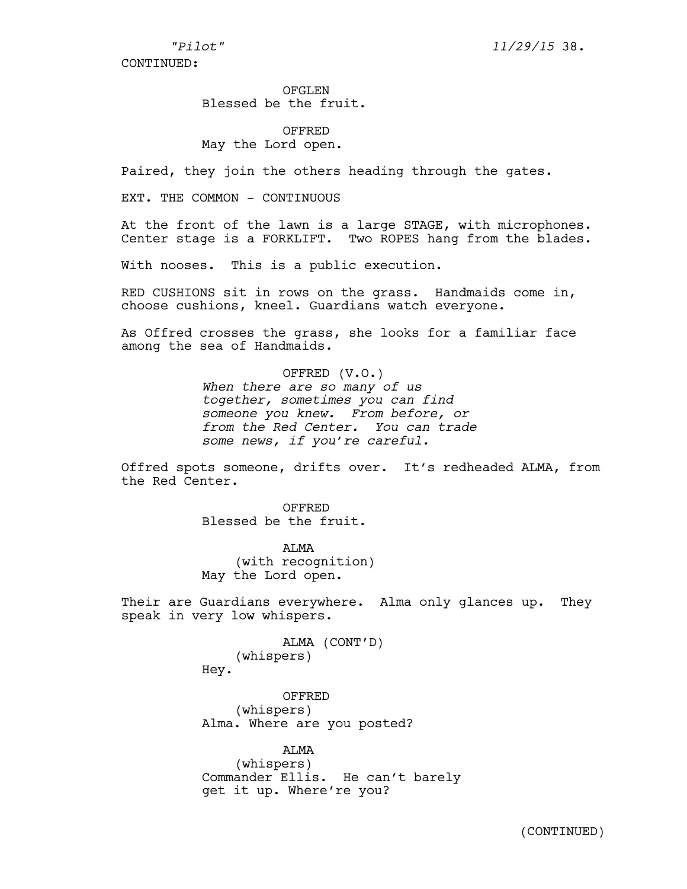OFGLEN Blessed be the fruit.

OFFRED May the Lord open.

Paired, they join the others heading through the gates.

EXT. THE COMMON - CONTINUOUS

At the front of the lawn is a large STAGE, with microphones. Center stage is a FORKLIFT. Two ROPES hang from the blades.

With nooses. This is a public execution.

RED CUSHIONS sit in rows on the grass. Handmaids come in, choose cushions, kneel. Guardians watch everyone.

As Offred crosses the grass, she looks for a familiar face among the sea of Handmaids.

> OFFRED (V.O.) *When there are so many of us together, sometimes you can find someone you knew. From before, or from the Red Center. You can trade some news, if you're careful.*

Offred spots someone, drifts over. It's redheaded ALMA, from the Red Center.

> OFFRED Blessed be the fruit.

ALMA (with recognition) May the Lord open.

Their are Guardians everywhere. Alma only glances up. They speak in very low whispers.

> ALMA (CONT'D) (whispers) Hey.

OFFRED (whispers) Alma. Where are you posted?

ALMA (whispers) Commander Ellis. He can't barely get it up. Where're you?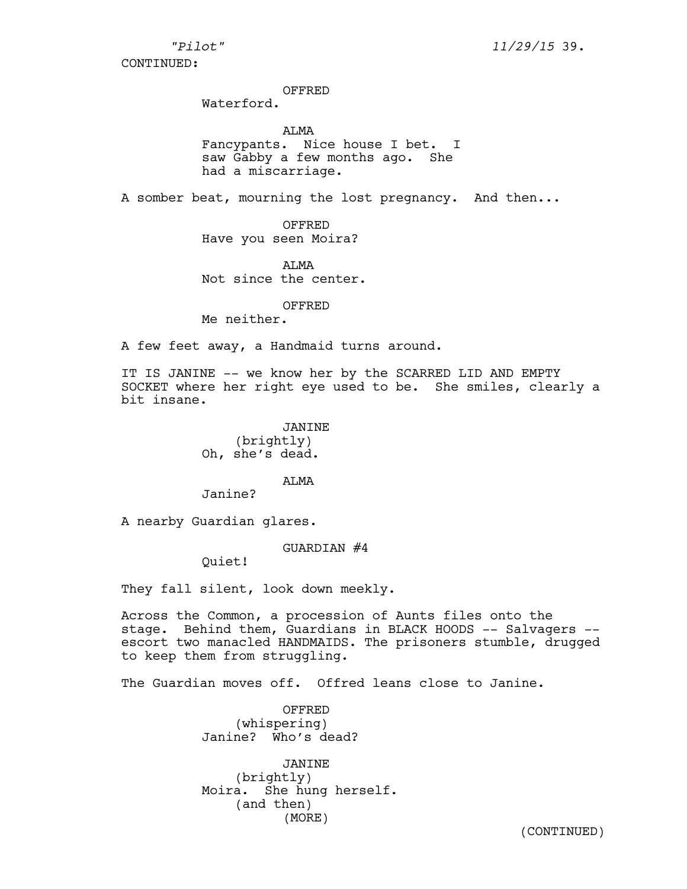*"Pilot" 11/29/15* 39.

CONTINUED:

#### OFFRED

Waterford.

ALMA Fancypants. Nice house I bet. I saw Gabby a few months ago. She had a miscarriage.

A somber beat, mourning the lost pregnancy. And then...

OFFRED Have you seen Moira?

**ATMA** Not since the center.

#### OFFRED

Me neither.

A few feet away, a Handmaid turns around.

IT IS JANINE -- we know her by the SCARRED LID AND EMPTY SOCKET where her right eye used to be. She smiles, clearly a bit insane.

> JANINE (brightly) Oh, she's dead.

> > **ATMA**

Janine?

A nearby Guardian glares.

GUARDIAN #4

Quiet!

They fall silent, look down meekly.

Across the Common, a procession of Aunts files onto the stage. Behind them, Guardians in BLACK HOODS -- Salvagers - escort two manacled HANDMAIDS. The prisoners stumble, drugged to keep them from struggling.

The Guardian moves off. Offred leans close to Janine.

OFFRED (whispering) Janine? Who's dead?

JANINE (brightly) Moira. She hung herself. (and then) (MORE)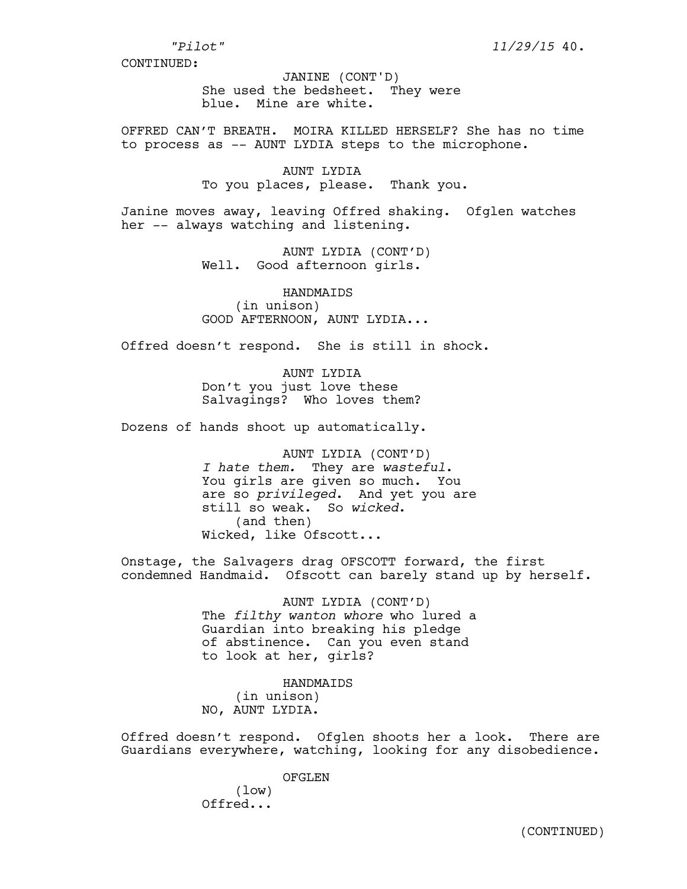She used the bedsheet. They were blue. Mine are white. JANINE (CONT'D)

OFFRED CAN'T BREATH. MOIRA KILLED HERSELF? She has no time to process as -- AUNT LYDIA steps to the microphone.

> AUNT LYDIA To you places, please. Thank you.

Janine moves away, leaving Offred shaking. Ofglen watches her -- always watching and listening.

> AUNT LYDIA (CONT'D) Well. Good afternoon girls.

> HANDMAIDS (in unison) GOOD AFTERNOON, AUNT LYDIA...

Offred doesn't respond. She is still in shock.

AUNT LYDIA Don't you just love these Salvagings? Who loves them?

Dozens of hands shoot up automatically.

AUNT LYDIA (CONT'D) *I hate them.* They are *wasteful*. You girls are given so much. You are so *privileged*. And yet you are still so weak. So *wicked*. (and then) Wicked, like Ofscott...

Onstage, the Salvagers drag OFSCOTT forward, the first condemned Handmaid. Ofscott can barely stand up by herself.

> AUNT LYDIA (CONT'D) The *filthy wanton whore* who lured a Guardian into breaking his pledge of abstinence. Can you even stand to look at her, girls?

HANDMAIDS (in unison) NO, AUNT LYDIA.

Offred doesn't respond. Ofglen shoots her a look. There are Guardians everywhere, watching, looking for any disobedience.

OFGLEN

(low) Offred...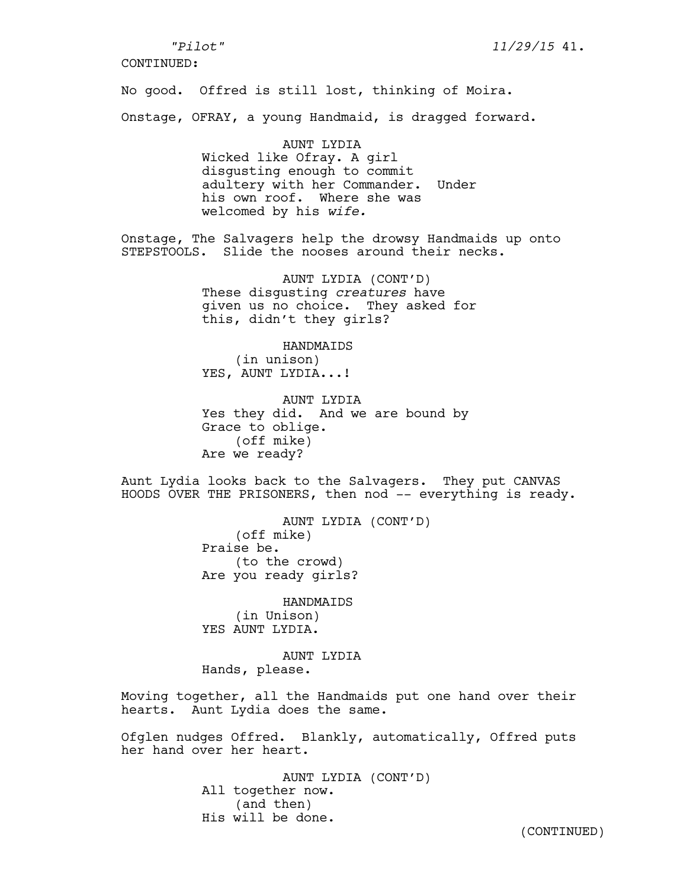## *"Pilot" 11/29/15* 41.

CONTINUED:

No good. Offred is still lost, thinking of Moira.

Onstage, OFRAY, a young Handmaid, is dragged forward.

AUNT LYDIA Wicked like Ofray. A girl disgusting enough to commit adultery with her Commander. Under his own roof. Where she was welcomed by his *wife.* 

Onstage, The Salvagers help the drowsy Handmaids up onto STEPSTOOLS. Slide the nooses around their necks.

> AUNT LYDIA (CONT'D) These disgusting *creatures* have given us no choice. They asked for this, didn't they girls?

> > HANDMAIDS

(in unison) YES, AUNT LYDIA...!

AUNT LYDIA Yes they did. And we are bound by Grace to oblige. (off mike) Are we ready?

Aunt Lydia looks back to the Salvagers. They put CANVAS HOODS OVER THE PRISONERS, then nod -- everything is ready.

> AUNT LYDIA (CONT'D) (off mike) Praise be. (to the crowd) Are you ready girls?

**HANDMATDS** (in Unison) YES AUNT LYDIA.

AUNT LYDIA Hands, please.

Moving together, all the Handmaids put one hand over their hearts. Aunt Lydia does the same.

Ofglen nudges Offred. Blankly, automatically, Offred puts her hand over her heart.

> AUNT LYDIA (CONT'D) All together now. (and then) His will be done.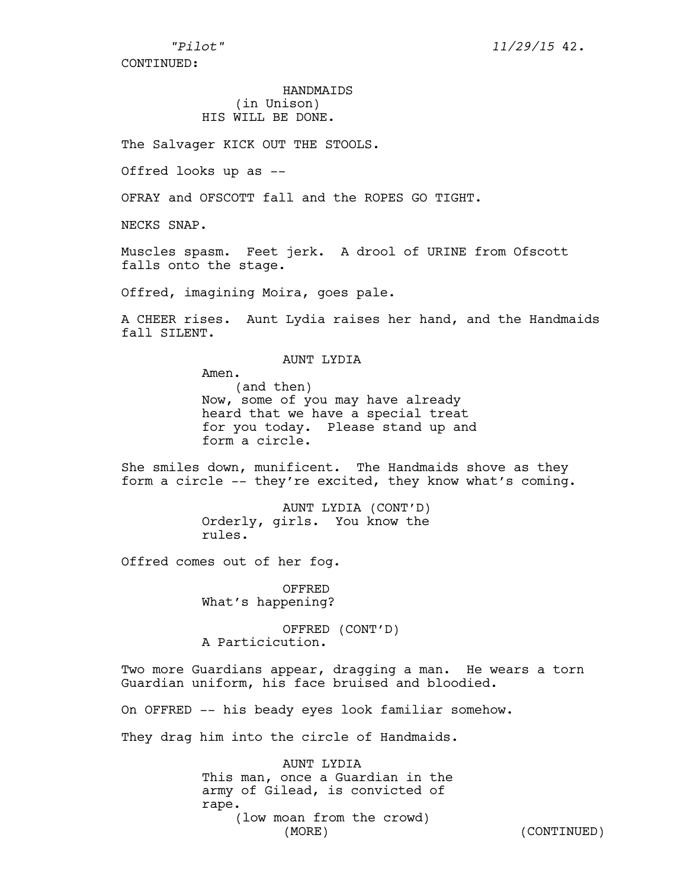# HANDMAIDS (in Unison) HIS WILL BE DONE.

The Salvager KICK OUT THE STOOLS.

Offred looks up as --

OFRAY and OFSCOTT fall and the ROPES GO TIGHT.

NECKS SNAP.

Muscles spasm. Feet jerk. A drool of URINE from Ofscott falls onto the stage.

Offred, imagining Moira, goes pale.

A CHEER rises. Aunt Lydia raises her hand, and the Handmaids fall SILENT.

## AUNT LYDIA

Amen. (and then) Now, some of you may have already heard that we have a special treat for you today. Please stand up and form a circle.

She smiles down, munificent. The Handmaids shove as they form a circle -- they're excited, they know what's coming.

> AUNT LYDIA (CONT'D) Orderly, girls. You know the rules.

Offred comes out of her fog.

OFFRED What's happening?

OFFRED (CONT'D) A Particicution.

Two more Guardians appear, dragging a man. He wears a torn Guardian uniform, his face bruised and bloodied.

On OFFRED -- his beady eyes look familiar somehow.

They drag him into the circle of Handmaids.

AUNT LYDIA This man, once a Guardian in the army of Gilead, is convicted of rape. (low moan from the crowd) (MORE) (CONTINUED)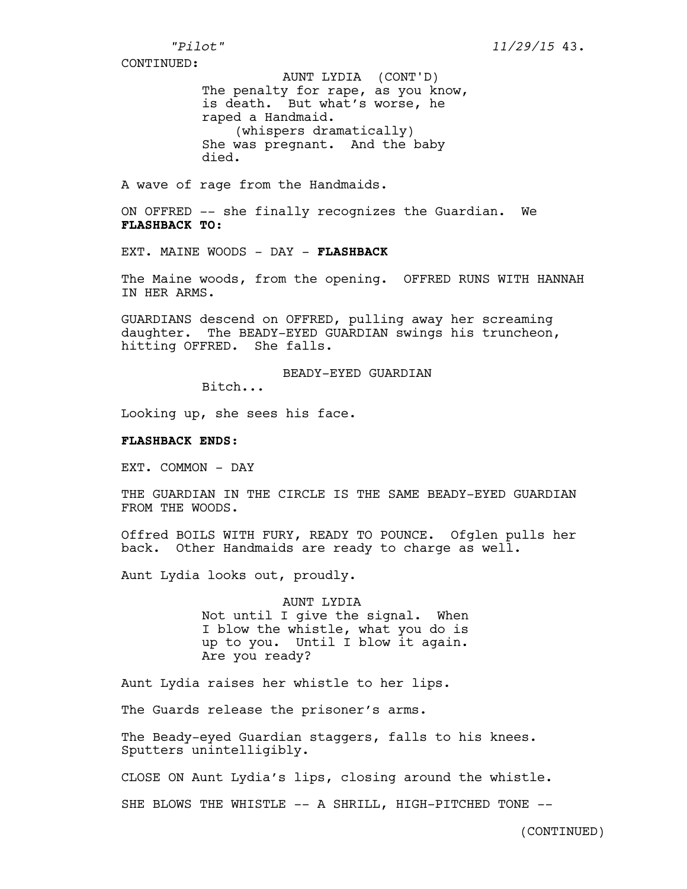The penalty for rape, as you know, is death. But what's worse, he raped a Handmaid. (whispers dramatically) She was pregnant. And the baby died. AUNT LYDIA (CONT'D)

A wave of rage from the Handmaids.

ON OFFRED -- she finally recognizes the Guardian. We **FLASHBACK TO:**

EXT. MAINE WOODS - DAY - **FLASHBACK**

The Maine woods, from the opening. OFFRED RUNS WITH HANNAH IN HER ARMS.

GUARDIANS descend on OFFRED, pulling away her screaming daughter. The BEADY-EYED GUARDIAN swings his truncheon, hitting OFFRED. She falls.

BEADY-EYED GUARDIAN

Bitch...

Looking up, she sees his face.

### **FLASHBACK ENDS:**

EXT. COMMON - DAY

THE GUARDIAN IN THE CIRCLE IS THE SAME BEADY-EYED GUARDIAN FROM THE WOODS.

Offred BOILS WITH FURY, READY TO POUNCE. Ofglen pulls her back. Other Handmaids are ready to charge as well.

Aunt Lydia looks out, proudly.

AUNT LYDIA Not until I give the signal. When I blow the whistle, what you do is up to you. Until I blow it again. Are you ready?

Aunt Lydia raises her whistle to her lips.

The Guards release the prisoner's arms.

The Beady-eyed Guardian staggers, falls to his knees. Sputters unintelligibly.

CLOSE ON Aunt Lydia's lips, closing around the whistle.

SHE BLOWS THE WHISTLE -- A SHRILL, HIGH-PITCHED TONE --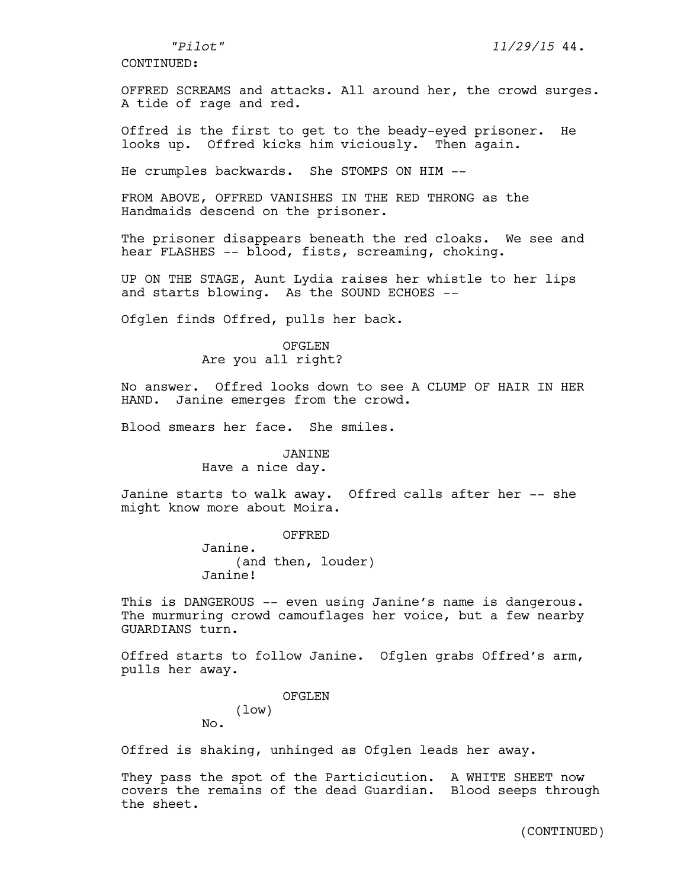OFFRED SCREAMS and attacks. All around her, the crowd surges. A tide of rage and red.

Offred is the first to get to the beady-eyed prisoner. He looks up. Offred kicks him viciously. Then again.

He crumples backwards. She STOMPS ON HIM --

FROM ABOVE, OFFRED VANISHES IN THE RED THRONG as the Handmaids descend on the prisoner.

The prisoner disappears beneath the red cloaks. We see and hear FLASHES -- blood, fists, screaming, choking.

UP ON THE STAGE, Aunt Lydia raises her whistle to her lips and starts blowing. As the SOUND ECHOES --

Ofglen finds Offred, pulls her back.

OFGLEN Are you all right?

No answer. Offred looks down to see A CLUMP OF HAIR IN HER HAND. Janine emerges from the crowd.

Blood smears her face. She smiles.

## JANINE

Have a nice day.

Janine starts to walk away. Offred calls after her -- she might know more about Moira.

> OFFRED Janine. (and then, louder)

Janine!

This is DANGEROUS -- even using Janine's name is dangerous. The murmuring crowd camouflages her voice, but a few nearby GUARDIANS turn.

Offred starts to follow Janine. Ofglen grabs Offred's arm, pulls her away.

OFGLEN

(low) No.

Offred is shaking, unhinged as Ofglen leads her away.

They pass the spot of the Particicution. A WHITE SHEET now covers the remains of the dead Guardian. Blood seeps through the sheet.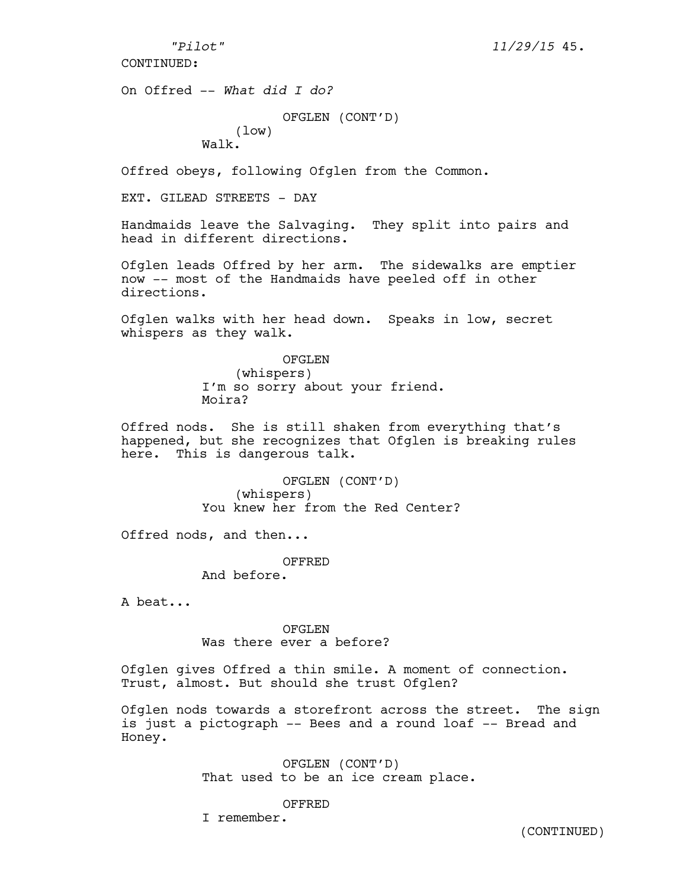*"Pilot" 11/29/15* 45.

CONTINUED:

On Offred -- *What did I do?*

OFGLEN (CONT'D) (low) Walk.

Offred obeys, following Ofglen from the Common.

EXT. GILEAD STREETS - DAY

Handmaids leave the Salvaging. They split into pairs and head in different directions.

Ofglen leads Offred by her arm. The sidewalks are emptier now -- most of the Handmaids have peeled off in other directions.

Ofglen walks with her head down. Speaks in low, secret whispers as they walk.

> OFGLEN (whispers) I'm so sorry about your friend. Moira?

Offred nods. She is still shaken from everything that's happened, but she recognizes that Ofglen is breaking rules here. This is dangerous talk.

> OFGLEN (CONT'D) (whispers) You knew her from the Red Center?

Offred nods, and then...

OFFRED

And before.

A beat...

OFGLEN Was there ever a before?

Ofglen gives Offred a thin smile. A moment of connection. Trust, almost. But should she trust Ofglen?

Ofglen nods towards a storefront across the street. The sign is just a pictograph -- Bees and a round loaf -- Bread and Honey.

> OFGLEN (CONT'D) That used to be an ice cream place.

> > OFFRED

I remember.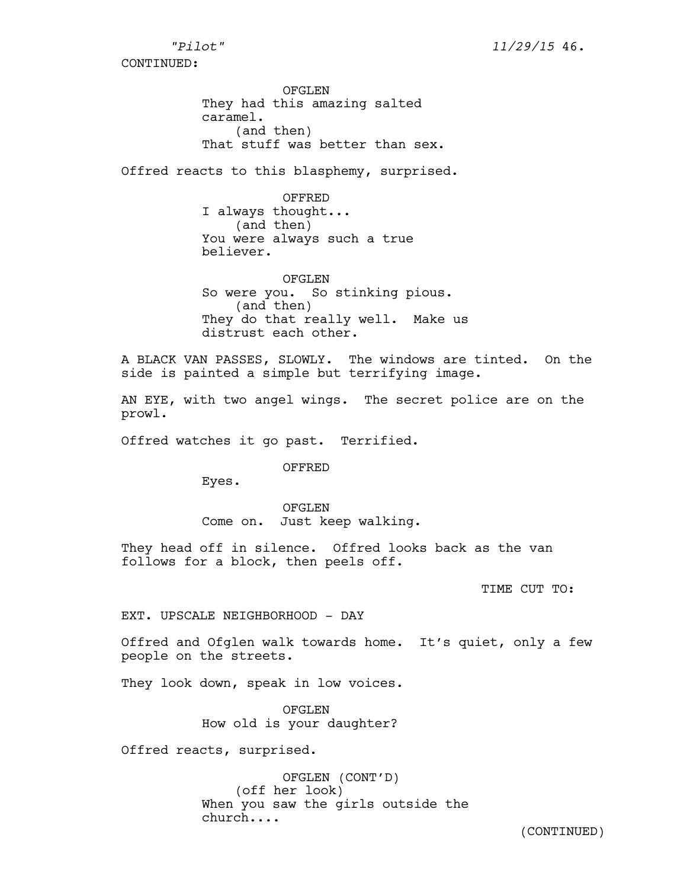OFGLEN They had this amazing salted caramel. (and then) That stuff was better than sex.

Offred reacts to this blasphemy, surprised.

OFFRED I always thought... (and then) You were always such a true believer.

OFGLEN So were you. So stinking pious. (and then) They do that really well. Make us distrust each other.

A BLACK VAN PASSES, SLOWLY. The windows are tinted. On the side is painted a simple but terrifying image.

AN EYE, with two angel wings. The secret police are on the prowl.

Offred watches it go past. Terrified.

OFFRED

Eyes.

OFGLEN Come on. Just keep walking.

They head off in silence. Offred looks back as the van follows for a block, then peels off.

TIME CUT TO:

EXT. UPSCALE NEIGHBORHOOD - DAY

Offred and Ofglen walk towards home. It's quiet, only a few people on the streets.

They look down, speak in low voices.

OFGLEN How old is your daughter?

Offred reacts, surprised.

OFGLEN (CONT'D) (off her look) When you saw the girls outside the church....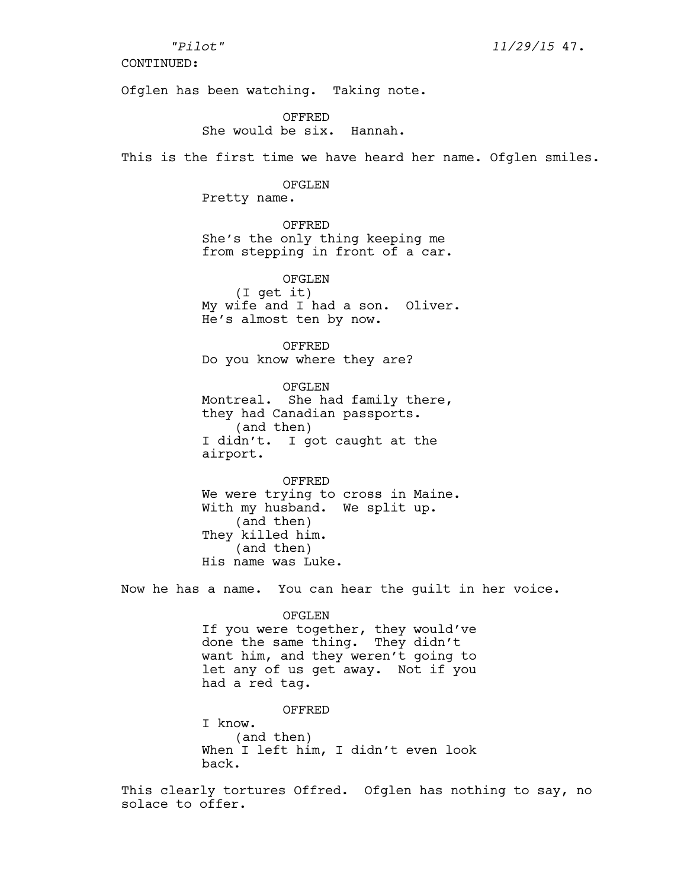Ofglen has been watching. Taking note.

OFFRED She would be six. Hannah.

This is the first time we have heard her name. Ofglen smiles.

# OFGLEN

Pretty name.

OFFRED She's the only thing keeping me from stepping in front of a car.

OFGLEN (I get it) My wife and I had a son. Oliver. He's almost ten by now.

OFFRED Do you know where they are?

OFGLEN Montreal. She had family there, they had Canadian passports. (and then) I didn't. I got caught at the airport.

OFFRED We were trying to cross in Maine. With my husband. We split up. (and then) They killed him. (and then) His name was Luke.

Now he has a name. You can hear the guilt in her voice.

#### OFGLEN

If you were together, they would've done the same thing. They didn't want him, and they weren't going to let any of us get away. Not if you had a red tag.

OFFRED I know. (and then) When I left him, I didn't even look back.

This clearly tortures Offred. Ofglen has nothing to say, no solace to offer.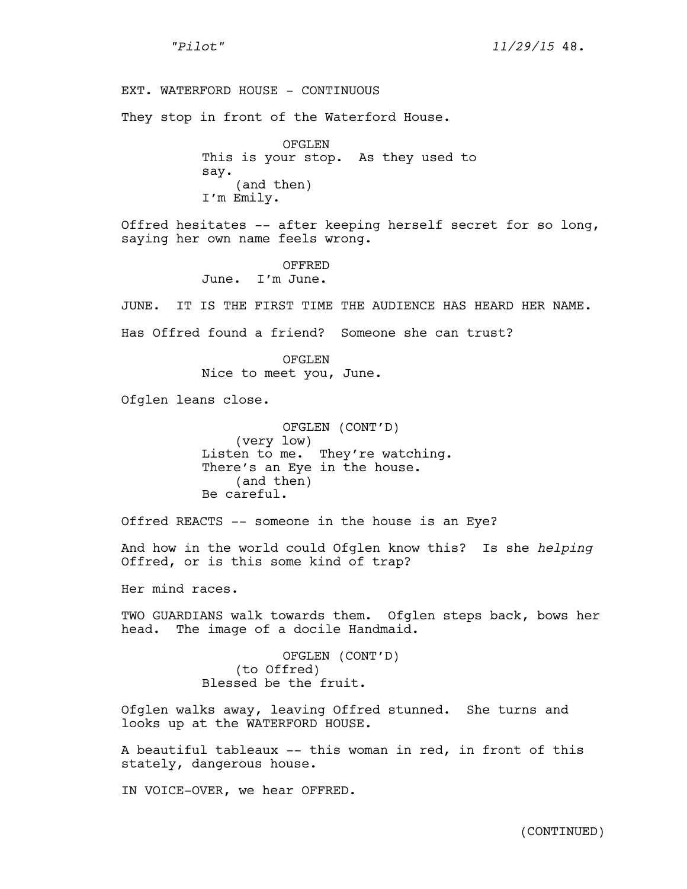*"Pilot" 11/29/15* 48.

EXT. WATERFORD HOUSE - CONTINUOUS

They stop in front of the Waterford House.

OFGLEN This is your stop. As they used to say. (and then) I'm Emily.

Offred hesitates -- after keeping herself secret for so long, saying her own name feels wrong.

> OFFRED June. I'm June.

JUNE. IT IS THE FIRST TIME THE AUDIENCE HAS HEARD HER NAME.

Has Offred found a friend? Someone she can trust?

OFGLEN Nice to meet you, June.

Ofglen leans close.

OFGLEN (CONT'D) (very low) Listen to me. They're watching. There's an Eye in the house. (and then) Be careful.

Offred REACTS -- someone in the house is an Eye?

And how in the world could Ofglen know this? Is she *helping* Offred, or is this some kind of trap?

Her mind races.

TWO GUARDIANS walk towards them. Ofglen steps back, bows her head. The image of a docile Handmaid.

> OFGLEN (CONT'D) (to Offred) Blessed be the fruit.

Ofglen walks away, leaving Offred stunned. She turns and looks up at the WATERFORD HOUSE.

A beautiful tableaux -- this woman in red, in front of this stately, dangerous house.

IN VOICE-OVER, we hear OFFRED.